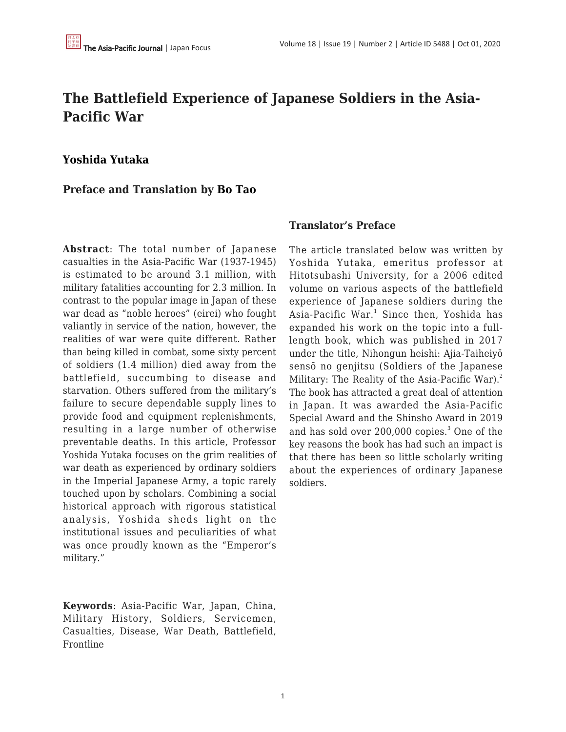## **The Battlefield Experience of Japanese Soldiers in the Asia-Pacific War**

## **[Yoshida Yutaka](https://apjjf.org/admin/site_manage/details/authors/view/15092)**

## **Preface and Translation by [Bo Tao](https://apjjf.org/authors/view/15093)**

**Abstract**: The total number of Japanese casualties in the Asia-Pacific War (1937-1945) is estimated to be around 3.1 million, with military fatalities accounting for 2.3 million. In contrast to the popular image in Japan of these war dead as "noble heroes" (eirei) who fought valiantly in service of the nation, however, the realities of war were quite different. Rather than being killed in combat, some sixty percent of soldiers (1.4 million) died away from the battlefield, succumbing to disease and starvation. Others suffered from the military's failure to secure dependable supply lines to provide food and equipment replenishments, resulting in a large number of otherwise preventable deaths. In this article, Professor Yoshida Yutaka focuses on the grim realities of war death as experienced by ordinary soldiers in the Imperial Japanese Army, a topic rarely touched upon by scholars. Combining a social historical approach with rigorous statistical analysis, Yoshida sheds light on the institutional issues and peculiarities of what was once proudly known as the "Emperor's military."

**Keywords**: Asia-Pacific War, Japan, China, Military History, Soldiers, Servicemen, Casualties, Disease, War Death, Battlefield, Frontline

## **Translator's Preface**

The article translated below was written by Yoshida Yutaka, emeritus professor at Hitotsubashi University, for a 2006 edited volume on various aspects of the battlefield experience of Japanese soldiers during the Asia-Pacific War.<sup>1</sup> Since then, Yoshida has expanded his work on the topic into a fulllength book, which was published in 2017 under the title, Nihongun heishi: Ajia-Taiheiyō sensō no genjitsu (Soldiers of the Japanese Military: The Reality of the Asia-Pacific War).<sup>2</sup> The book has attracted a great deal of attention in Japan. It was awarded the Asia-Pacific Special Award and the Shinsho Award in 2019 and has sold over 200,000 copies.<sup>3</sup> One of the key reasons the book has had such an impact is that there has been so little scholarly writing about the experiences of ordinary Japanese soldiers.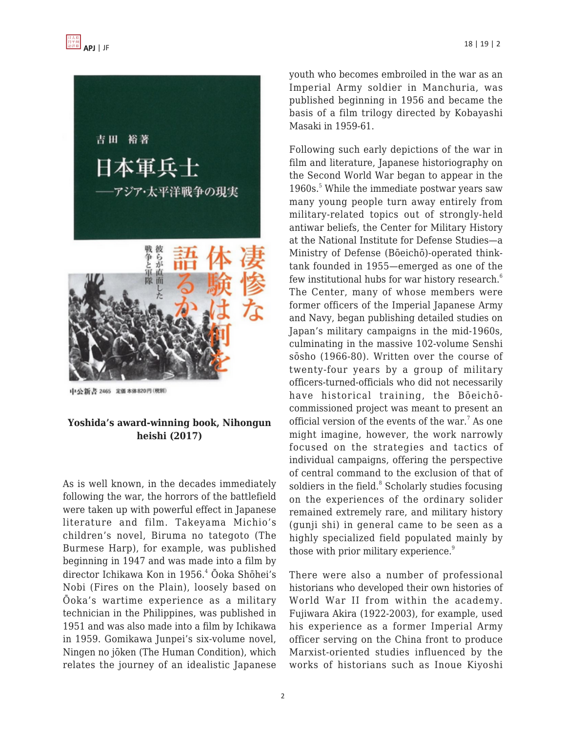

中公新書 2465 定価本体820円(税別)

## **Yoshida's award-winning book, Nihongun heishi (2017)**

As is well known, in the decades immediately following the war, the horrors of the battlefield were taken up with powerful effect in Japanese literature and film. Takeyama Michio's children's novel, Biruma no tategoto (The Burmese Harp), for example, was published beginning in 1947 and was made into a film by director Ichikawa Kon in 1956.<sup>4</sup> Ōoka Shōhei's Nobi (Fires on the Plain), loosely based on Ōoka's wartime experience as a military technician in the Philippines, was published in 1951 and was also made into a film by Ichikawa in 1959. Gomikawa Junpei's six-volume novel, Ningen no jōken (The Human Condition), which relates the journey of an idealistic Japanese youth who becomes embroiled in the war as an Imperial Army soldier in Manchuria, was published beginning in 1956 and became the basis of a film trilogy directed by Kobayashi Masaki in 1959-61.

Following such early depictions of the war in film and literature, Japanese historiography on the Second World War began to appear in the 1960s.<sup>5</sup> While the immediate postwar years saw many young people turn away entirely from military-related topics out of strongly-held antiwar beliefs, the Center for Military History at the National Institute for Defense Studies—a Ministry of Defense (Bōeichō)-operated thinktank founded in 1955—emerged as one of the few institutional hubs for war history research.<sup>6</sup> The Center, many of whose members were former officers of the Imperial Japanese Army and Navy, began publishing detailed studies on Japan's military campaigns in the mid-1960s, culminating in the massive 102-volume Senshi sōsho (1966-80). Written over the course of twenty-four years by a group of military officers-turned-officials who did not necessarily have historical training, the Bōeichōcommissioned project was meant to present an official version of the events of the war.<sup>7</sup> As one might imagine, however, the work narrowly focused on the strategies and tactics of individual campaigns, offering the perspective of central command to the exclusion of that of soldiers in the field. $8$  Scholarly studies focusing on the experiences of the ordinary solider remained extremely rare, and military history (gunji shi) in general came to be seen as a highly specialized field populated mainly by those with prior military experience.<sup>9</sup>

There were also a number of professional historians who developed their own histories of World War II from within the academy. Fujiwara Akira (1922-2003), for example, used his experience as a former Imperial Army officer serving on the China front to produce Marxist-oriented studies influenced by the works of historians such as Inoue Kiyoshi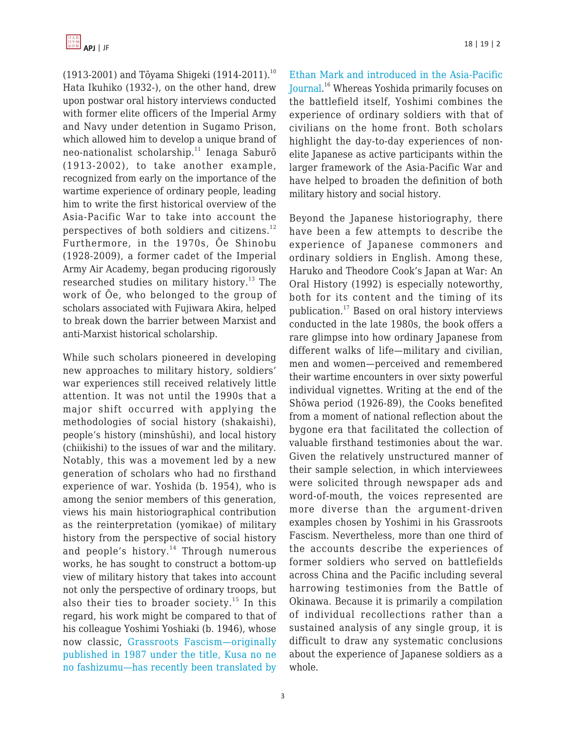

 $(1913-2001)$  and Toyama Shigeki  $(1914-2011).$ <sup>10</sup> Hata Ikuhiko (1932-), on the other hand, drew upon postwar oral history interviews conducted with former elite officers of the Imperial Army and Navy under detention in Sugamo Prison, which allowed him to develop a unique brand of neo-nationalist scholarship.<sup>11</sup> Ienaga Saburō (1913-2002), to take another example, recognized from early on the importance of the wartime experience of ordinary people, leading him to write the first historical overview of the Asia-Pacific War to take into account the perspectives of both soldiers and citizens.<sup>12</sup> Furthermore, in the 1970s, Ōe Shinobu (1928-2009), a former cadet of the Imperial Army Air Academy, began producing rigorously researched studies on military history.<sup>13</sup> The work of Ōe, who belonged to the group of scholars associated with Fujiwara Akira, helped to break down the barrier between Marxist and anti-Marxist historical scholarship.

While such scholars pioneered in developing new approaches to military history, soldiers' war experiences still received relatively little attention. It was not until the 1990s that a major shift occurred with applying the methodologies of social history (shakaishi), people's history (minshūshi), and local history (chiikishi) to the issues of war and the military. Notably, this was a movement led by a new generation of scholars who had no firsthand experience of war. Yoshida (b. 1954), who is among the senior members of this generation, views his main historiographical contribution as the reinterpretation (yomikae) of military history from the perspective of social history and people's history.<sup>14</sup> Through numerous works, he has sought to construct a bottom-up view of military history that takes into account not only the perspective of ordinary troops, but also their ties to broader society.<sup>15</sup> In this regard, his work might be compared to that of his colleague Yoshimi Yoshiaki (b. 1946), whose now classic, [Grassroots Fascism—originally](https://apjjf.org/-Yoshimi-Yoshiaki/4369) [published in 1987 under the title, Kusa no ne](https://apjjf.org/-Yoshimi-Yoshiaki/4369) [no fashizumu—has recently been translated by](https://apjjf.org/-Yoshimi-Yoshiaki/4369) [Ethan Mark and introduced in the Asia-Pacific](https://apjjf.org/-Yoshimi-Yoshiaki/4369) [Journal.](https://apjjf.org/-Yoshimi-Yoshiaki/4369) <sup>16</sup> Whereas Yoshida primarily focuses on the battlefield itself, Yoshimi combines the experience of ordinary soldiers with that of civilians on the home front. Both scholars highlight the day-to-day experiences of nonelite Japanese as active participants within the larger framework of the Asia-Pacific War and have helped to broaden the definition of both military history and social history.

Beyond the Japanese historiography, there have been a few attempts to describe the experience of Japanese commoners and ordinary soldiers in English. Among these, Haruko and Theodore Cook's Japan at War: An Oral History (1992) is especially noteworthy, both for its content and the timing of its publication.<sup>17</sup> Based on oral history interviews conducted in the late 1980s, the book offers a rare glimpse into how ordinary Japanese from different walks of life—military and civilian, men and women—perceived and remembered their wartime encounters in over sixty powerful individual vignettes. Writing at the end of the Shōwa period (1926-89), the Cooks benefited from a moment of national reflection about the bygone era that facilitated the collection of valuable firsthand testimonies about the war. Given the relatively unstructured manner of their sample selection, in which interviewees were solicited through newspaper ads and word-of-mouth, the voices represented are more diverse than the argument-driven examples chosen by Yoshimi in his Grassroots Fascism. Nevertheless, more than one third of the accounts describe the experiences of former soldiers who served on battlefields across China and the Pacific including several harrowing testimonies from the Battle of Okinawa. Because it is primarily a compilation of individual recollections rather than a sustained analysis of any single group, it is difficult to draw any systematic conclusions about the experience of Japanese soldiers as a whole.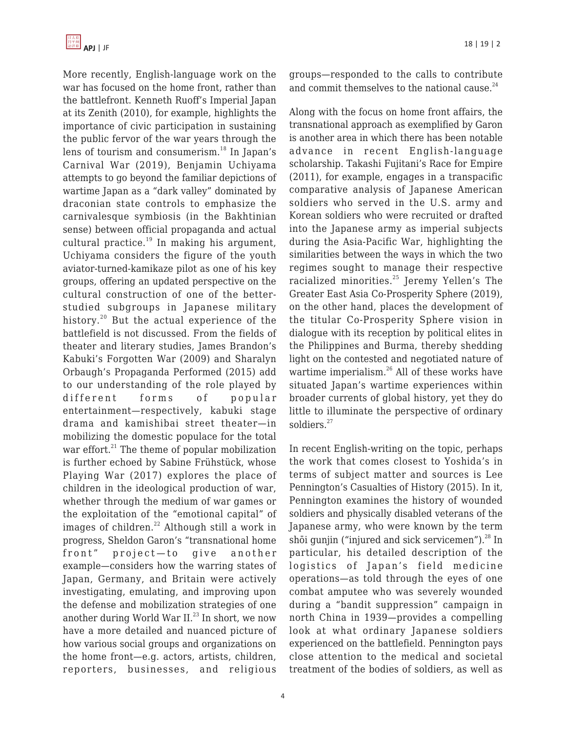More recently, English-language work on the war has focused on the home front, rather than the battlefront. Kenneth Ruoff's Imperial Japan at its Zenith (2010), for example, highlights the importance of civic participation in sustaining the public fervor of the war years through the lens of tourism and consumerism.<sup>18</sup> In Japan's Carnival War (2019), Benjamin Uchiyama attempts to go beyond the familiar depictions of wartime Japan as a "dark valley" dominated by draconian state controls to emphasize the carnivalesque symbiosis (in the Bakhtinian sense) between official propaganda and actual cultural practice. $19$  In making his argument, Uchiyama considers the figure of the youth aviator-turned-kamikaze pilot as one of his key groups, offering an updated perspective on the cultural construction of one of the betterstudied subgroups in Japanese military history.<sup>20</sup> But the actual experience of the battlefield is not discussed. From the fields of theater and literary studies, James Brandon's Kabuki's Forgotten War (2009) and Sharalyn Orbaugh's Propaganda Performed (2015) add to our understanding of the role played by different forms of popular entertainment—respectively, kabuki stage drama and kamishibai street theater—in mobilizing the domestic populace for the total war effort. $^{21}$  The theme of popular mobilization is further echoed by Sabine Frühstück, whose Playing War (2017) explores the place of children in the ideological production of war, whether through the medium of war games or the exploitation of the "emotional capital" of images of children.<sup>22</sup> Although still a work in progress, Sheldon Garon's "transnational home front" project—to give another example—considers how the warring states of Japan, Germany, and Britain were actively investigating, emulating, and improving upon the defense and mobilization strategies of one another during World War II. $^{23}$  In short, we now have a more detailed and nuanced picture of how various social groups and organizations on the home front—e.g. actors, artists, children, reporters, businesses, and religious groups—responded to the calls to contribute and commit themselves to the national cause. $^{24}$ 

Along with the focus on home front affairs, the transnational approach as exemplified by Garon is another area in which there has been notable advance in recent English-language scholarship. Takashi Fujitani's Race for Empire (2011), for example, engages in a transpacific comparative analysis of Japanese American soldiers who served in the U.S. army and Korean soldiers who were recruited or drafted into the Japanese army as imperial subjects during the Asia-Pacific War, highlighting the similarities between the ways in which the two regimes sought to manage their respective racialized minorities.<sup>25</sup> Jeremy Yellen's The Greater East Asia Co-Prosperity Sphere (2019), on the other hand, places the development of the titular Co-Prosperity Sphere vision in dialogue with its reception by political elites in the Philippines and Burma, thereby shedding light on the contested and negotiated nature of wartime imperialism.<sup>26</sup> All of these works have situated Japan's wartime experiences within broader currents of global history, yet they do little to illuminate the perspective of ordinary soldiers.<sup>27</sup>

In recent English-writing on the topic, perhaps the work that comes closest to Yoshida's in terms of subject matter and sources is Lee Pennington's Casualties of History (2015). In it, Pennington examines the history of wounded soldiers and physically disabled veterans of the Japanese army, who were known by the term shōi gunjin ("injured and sick servicemen"). $^{28}$  In particular, his detailed description of the logistics of Japan's field medicine operations—as told through the eyes of one combat amputee who was severely wounded during a "bandit suppression" campaign in north China in 1939—provides a compelling look at what ordinary Japanese soldiers experienced on the battlefield. Pennington pays close attention to the medical and societal treatment of the bodies of soldiers, as well as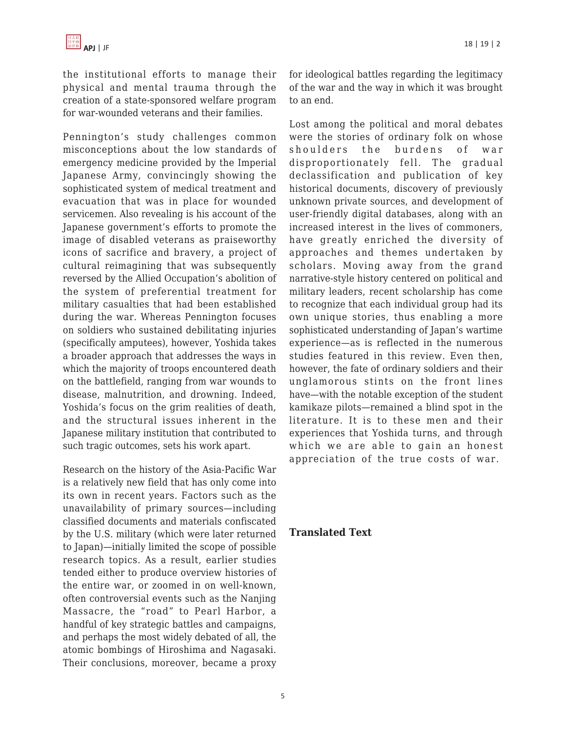the institutional efforts to manage their physical and mental trauma through the creation of a state-sponsored welfare program for war-wounded veterans and their families.

Pennington's study challenges common misconceptions about the low standards of emergency medicine provided by the Imperial Japanese Army, convincingly showing the sophisticated system of medical treatment and evacuation that was in place for wounded servicemen. Also revealing is his account of the Japanese government's efforts to promote the image of disabled veterans as praiseworthy icons of sacrifice and bravery, a project of cultural reimagining that was subsequently reversed by the Allied Occupation's abolition of the system of preferential treatment for military casualties that had been established during the war. Whereas Pennington focuses on soldiers who sustained debilitating injuries (specifically amputees), however, Yoshida takes a broader approach that addresses the ways in which the majority of troops encountered death on the battlefield, ranging from war wounds to disease, malnutrition, and drowning. Indeed, Yoshida's focus on the grim realities of death, and the structural issues inherent in the Japanese military institution that contributed to such tragic outcomes, sets his work apart.

Research on the history of the Asia-Pacific War is a relatively new field that has only come into its own in recent years. Factors such as the unavailability of primary sources—including classified documents and materials confiscated by the U.S. military (which were later returned to Japan)—initially limited the scope of possible research topics. As a result, earlier studies tended either to produce overview histories of the entire war, or zoomed in on well-known, often controversial events such as the Nanjing Massacre, the "road" to Pearl Harbor, a handful of key strategic battles and campaigns, and perhaps the most widely debated of all, the atomic bombings of Hiroshima and Nagasaki. Their conclusions, moreover, became a proxy for ideological battles regarding the legitimacy of the war and the way in which it was brought to an end.

Lost among the political and moral debates were the stories of ordinary folk on whose shoulders the burdens of war disproportionately fell. The gradual declassification and publication of key historical documents, discovery of previously unknown private sources, and development of user-friendly digital databases, along with an increased interest in the lives of commoners, have greatly enriched the diversity of approaches and themes undertaken by scholars. Moving away from the grand narrative-style history centered on political and military leaders, recent scholarship has come to recognize that each individual group had its own unique stories, thus enabling a more sophisticated understanding of Japan's wartime experience—as is reflected in the numerous studies featured in this review. Even then, however, the fate of ordinary soldiers and their unglamorous stints on the front lines have—with the notable exception of the student kamikaze pilots—remained a blind spot in the literature. It is to these men and their experiences that Yoshida turns, and through which we are able to gain an honest appreciation of the true costs of war.

## **Translated Text**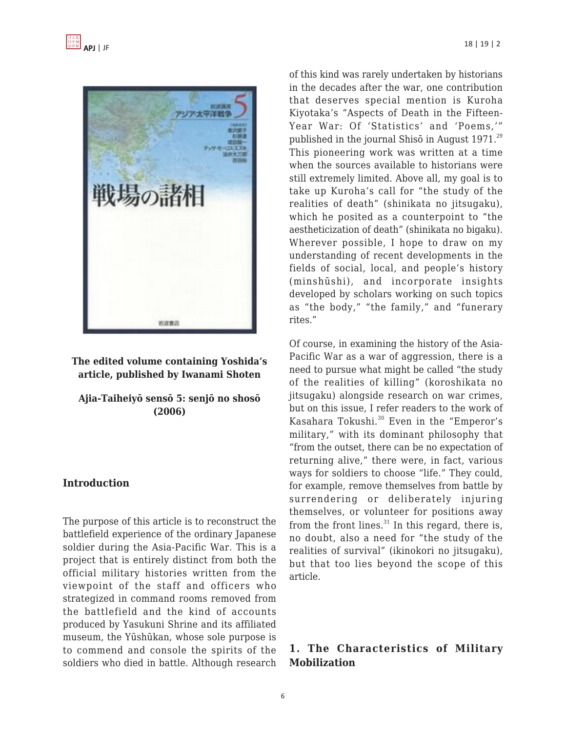

**The edited volume containing Yoshida's article, published by Iwanami Shoten**

**Ajia-Taiheiyō sensō 5: senjō no shosō (2006)**

## **Introduction**

The purpose of this article is to reconstruct the battlefield experience of the ordinary Japanese soldier during the Asia-Pacific War. This is a project that is entirely distinct from both the official military histories written from the viewpoint of the staff and officers who strategized in command rooms removed from the battlefield and the kind of accounts produced by Yasukuni Shrine and its affiliated museum, the Yūshūkan, whose sole purpose is to commend and console the spirits of the soldiers who died in battle. Although research of this kind was rarely undertaken by historians in the decades after the war, one contribution that deserves special mention is Kuroha Kiyotaka's "Aspects of Death in the Fifteen-Year War: Of 'Statistics' and 'Poems,'" published in the journal Shis $\overline{\rm o}$  in August 1971.<sup>29</sup> This pioneering work was written at a time when the sources available to historians were still extremely limited. Above all, my goal is to take up Kuroha's call for "the study of the realities of death" (shinikata no jitsugaku), which he posited as a counterpoint to "the aestheticization of death" (shinikata no bigaku). Wherever possible, I hope to draw on my understanding of recent developments in the fields of social, local, and people's history (minshūshi), and incorporate insights developed by scholars working on such topics as "the body," "the family," and "funerary rites."

Of course, in examining the history of the Asia-Pacific War as a war of aggression, there is a need to pursue what might be called "the study of the realities of killing" (koroshikata no jitsugaku) alongside research on war crimes, but on this issue, I refer readers to the work of Kasahara Tokushi.<sup>30</sup> Even in the "Emperor's military," with its dominant philosophy that "from the outset, there can be no expectation of returning alive," there were, in fact, various ways for soldiers to choose "life." They could, for example, remove themselves from battle by surrendering or deliberately injuring themselves, or volunteer for positions away from the front lines. $31$  In this regard, there is, no doubt, also a need for "the study of the realities of survival" (ikinokori no jitsugaku), but that too lies beyond the scope of this article.

## **1. The Characteristics of Military Mobilization**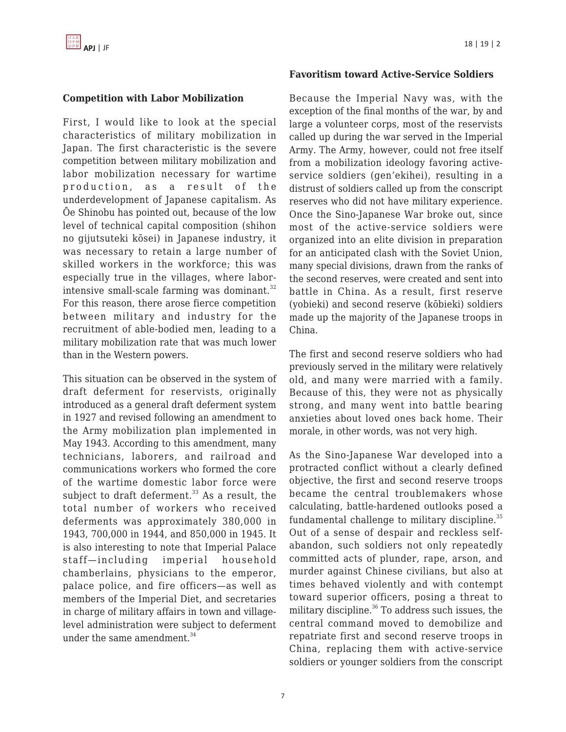## **Competition with Labor Mobilization**

First, I would like to look at the special characteristics of military mobilization in Japan. The first characteristic is the severe competition between military mobilization and labor mobilization necessary for wartime production, as a result of the underdevelopment of Japanese capitalism. As Ōe Shinobu has pointed out, because of the low level of technical capital composition (shihon no gijutsuteki kōsei) in Japanese industry, it was necessary to retain a large number of skilled workers in the workforce; this was especially true in the villages, where laborintensive small-scale farming was dominant. $32$ For this reason, there arose fierce competition between military and industry for the recruitment of able-bodied men, leading to a military mobilization rate that was much lower than in the Western powers.

This situation can be observed in the system of draft deferment for reservists, originally introduced as a general draft deferment system in 1927 and revised following an amendment to the Army mobilization plan implemented in May 1943. According to this amendment, many technicians, laborers, and railroad and communications workers who formed the core of the wartime domestic labor force were subject to draft deferment. $33$  As a result, the total number of workers who received deferments was approximately 380,000 in 1943, 700,000 in 1944, and 850,000 in 1945. It is also interesting to note that Imperial Palace staff—including imperial household chamberlains, physicians to the emperor, palace police, and fire officers—as well as members of the Imperial Diet, and secretaries in charge of military affairs in town and villagelevel administration were subject to deferment under the same amendment. $34$ 

#### **Favoritism toward Active-Service Soldiers**

Because the Imperial Navy was, with the exception of the final months of the war, by and large a volunteer corps, most of the reservists called up during the war served in the Imperial Army. The Army, however, could not free itself from a mobilization ideology favoring activeservice soldiers (gen'ekihei), resulting in a distrust of soldiers called up from the conscript reserves who did not have military experience. Once the Sino-Japanese War broke out, since most of the active-service soldiers were organized into an elite division in preparation for an anticipated clash with the Soviet Union, many special divisions, drawn from the ranks of the second reserves, were created and sent into battle in China. As a result, first reserve (yobieki) and second reserve (kōbieki) soldiers made up the majority of the Japanese troops in China.

The first and second reserve soldiers who had previously served in the military were relatively old, and many were married with a family. Because of this, they were not as physically strong, and many went into battle bearing anxieties about loved ones back home. Their morale, in other words, was not very high.

As the Sino-Japanese War developed into a protracted conflict without a clearly defined objective, the first and second reserve troops became the central troublemakers whose calculating, battle-hardened outlooks posed a fundamental challenge to military discipline. $35$ Out of a sense of despair and reckless selfabandon, such soldiers not only repeatedly committed acts of plunder, rape, arson, and murder against Chinese civilians, but also at times behaved violently and with contempt toward superior officers, posing a threat to military discipline. $36$  To address such issues, the central command moved to demobilize and repatriate first and second reserve troops in China, replacing them with active-service soldiers or younger soldiers from the conscript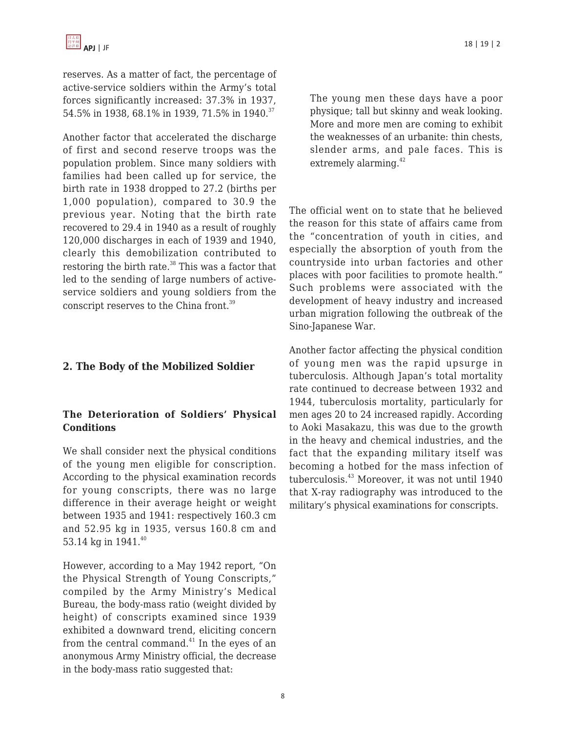reserves. As a matter of fact, the percentage of active-service soldiers within the Army's total forces significantly increased: 37.3% in 1937, 54.5% in 1938, 68.1% in 1939, 71.5% in 1940.<sup>37</sup>

Another factor that accelerated the discharge of first and second reserve troops was the population problem. Since many soldiers with families had been called up for service, the birth rate in 1938 dropped to 27.2 (births per 1,000 population), compared to 30.9 the previous year. Noting that the birth rate recovered to 29.4 in 1940 as a result of roughly 120,000 discharges in each of 1939 and 1940, clearly this demobilization contributed to restoring the birth rate.<sup>38</sup> This was a factor that led to the sending of large numbers of activeservice soldiers and young soldiers from the conscript reserves to the China front.<sup>39</sup>

## **2. The Body of the Mobilized Soldier**

## **The Deterioration of Soldiers' Physical Conditions**

We shall consider next the physical conditions of the young men eligible for conscription. According to the physical examination records for young conscripts, there was no large difference in their average height or weight between 1935 and 1941: respectively 160.3 cm and 52.95 kg in 1935, versus 160.8 cm and 53.14 kg in 1941.<sup>40</sup>

However, according to a May 1942 report, "On the Physical Strength of Young Conscripts," compiled by the Army Ministry's Medical Bureau, the body-mass ratio (weight divided by height) of conscripts examined since 1939 exhibited a downward trend, eliciting concern from the central command. $41$  In the eyes of an anonymous Army Ministry official, the decrease in the body-mass ratio suggested that:

The young men these days have a poor physique; tall but skinny and weak looking. More and more men are coming to exhibit the weaknesses of an urbanite: thin chests, slender arms, and pale faces. This is extremely alarming.<sup>42</sup>

The official went on to state that he believed the reason for this state of affairs came from the "concentration of youth in cities, and especially the absorption of youth from the countryside into urban factories and other places with poor facilities to promote health." Such problems were associated with the development of heavy industry and increased urban migration following the outbreak of the Sino-Japanese War.

Another factor affecting the physical condition of young men was the rapid upsurge in tuberculosis. Although Japan's total mortality rate continued to decrease between 1932 and 1944, tuberculosis mortality, particularly for men ages 20 to 24 increased rapidly. According to Aoki Masakazu, this was due to the growth in the heavy and chemical industries, and the fact that the expanding military itself was becoming a hotbed for the mass infection of tuberculosis.<sup>43</sup> Moreover, it was not until 1940 that X-ray radiography was introduced to the military's physical examinations for conscripts.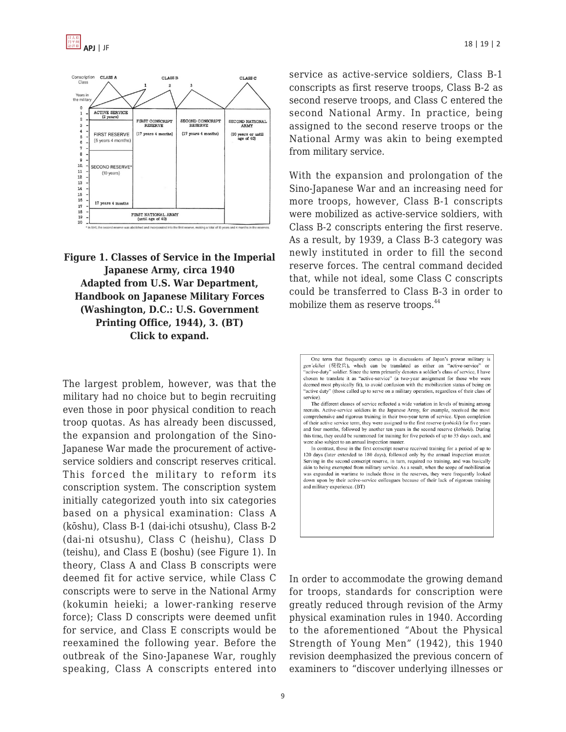

**Figure 1. Classes of Service in the Imperial Japanese Army, circa 1940 Adapted from U.S. War Department, Handbook on Japanese Military Forces (Washington, D.C.: U.S. Government Printing Office, 1944), 3. (BT) Click to expand.**

The largest problem, however, was that the military had no choice but to begin recruiting even those in poor physical condition to reach troop quotas. As has already been discussed, the expansion and prolongation of the Sino-Japanese War made the procurement of activeservice soldiers and conscript reserves critical. This forced the military to reform its conscription system. The conscription system initially categorized youth into six categories based on a physical examination: Class A (kōshu), Class B-1 (dai-ichi otsushu), Class B-2 (dai-ni otsushu), Class C (heishu), Class D (teishu), and Class E (boshu) (see Figure 1). In theory, Class A and Class B conscripts were deemed fit for active service, while Class C conscripts were to serve in the National Army (kokumin heieki; a lower-ranking reserve force); Class D conscripts were deemed unfit for service, and Class E conscripts would be reexamined the following year. Before the outbreak of the Sino-Japanese War, roughly speaking, Class A conscripts entered into service as active-service soldiers, Class B-1 conscripts as first reserve troops, Class B-2 as second reserve troops, and Class C entered the second National Army. In practice, being assigned to the second reserve troops or the National Army was akin to being exempted from military service.

With the expansion and prolongation of the Sino-Japanese War and an increasing need for more troops, however, Class B-1 conscripts were mobilized as active-service soldiers, with Class B-2 conscripts entering the first reserve. As a result, by 1939, a Class B-3 category was newly instituted in order to fill the second reserve forces. The central command decided that, while not ideal, some Class C conscripts could be transferred to Class B-3 in order to mobilize them as reserve troops.<sup>44</sup>

In order to accommodate the growing demand for troops, standards for conscription were greatly reduced through revision of the Army physical examination rules in 1940. According to the aforementioned "About the Physical Strength of Young Men" (1942), this 1940 revision deemphasized the previous concern of examiners to "discover underlying illnesses or

One term that frequently comes up in discussions of Japan's prewar military is gen'ekihei (現役兵), which can be translated as either an "active-service" "active-duty" soldier. Since the term primarily denotes a soldier's class of service. I have chosen to translate it as "active-service" (a two-year assignment for those who were deemed most physically fit), to avoid confusion with the mobilization status of being on "active duty" (those called up to serve on a military operation, regardless of their class of service).

The different classes of service reflected a wide variation in levels of training among recruits. Active-service soldiers in the Japanese Army, for example, received the most comprehensive and rigorous training in their two-year term of service. Upon completion of their active service term, they were assigned to the first reserve (yobieki) for five years and four months, followed by another ten years in the second reserve ( $k\bar{o}bieki$ ). During this time, they could be summoned for training for five periods of up to 35 days each, and were also subject to an annual inspection muster.

In contrast, those in the first conscript reserve received training for a period of up to 120 days (later extended to 180 days), followed only by the annual inspection muster. Serving in the second conscript reserve, in turn, required no training, and was basically akin to being exempted from military service. As a result, when the scope of mobilization was expanded in wartime to include those in the reserves, they were frequently looked down upon by their active-service colleagues because of their lack of rigorous training and military experience. (BT)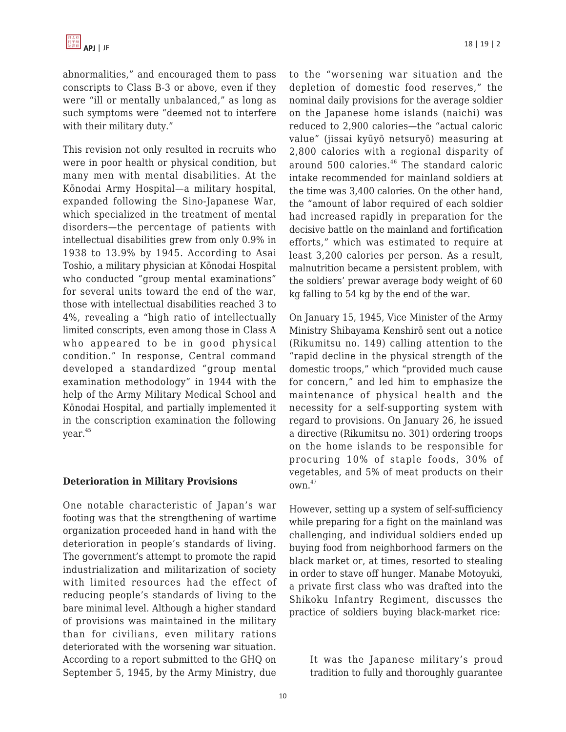abnormalities," and encouraged them to pass conscripts to Class B-3 or above, even if they were "ill or mentally unbalanced," as long as such symptoms were "deemed not to interfere with their military duty."

This revision not only resulted in recruits who were in poor health or physical condition, but many men with mental disabilities. At the Kōnodai Army Hospital—a military hospital, expanded following the Sino-Japanese War, which specialized in the treatment of mental disorders—the percentage of patients with intellectual disabilities grew from only 0.9% in 1938 to 13.9% by 1945. According to Asai Toshio, a military physician at Kōnodai Hospital who conducted "group mental examinations" for several units toward the end of the war, those with intellectual disabilities reached 3 to 4%, revealing a "high ratio of intellectually limited conscripts, even among those in Class A who appeared to be in good physical condition." In response, Central command developed a standardized "group mental examination methodology" in 1944 with the help of the Army Military Medical School and Kōnodai Hospital, and partially implemented it in the conscription examination the following year.<sup>45</sup>

## **Deterioration in Military Provisions**

One notable characteristic of Japan's war footing was that the strengthening of wartime organization proceeded hand in hand with the deterioration in people's standards of living. The government's attempt to promote the rapid industrialization and militarization of society with limited resources had the effect of reducing people's standards of living to the bare minimal level. Although a higher standard of provisions was maintained in the military than for civilians, even military rations deteriorated with the worsening war situation. According to a report submitted to the GHQ on September 5, 1945, by the Army Ministry, due to the "worsening war situation and the depletion of domestic food reserves," the nominal daily provisions for the average soldier on the Japanese home islands (naichi) was reduced to 2,900 calories—the "actual caloric value" (jissai kyūyō netsuryō) measuring at 2,800 calories with a regional disparity of around 500 calories. $46$  The standard caloric intake recommended for mainland soldiers at the time was 3,400 calories. On the other hand, the "amount of labor required of each soldier had increased rapidly in preparation for the decisive battle on the mainland and fortification efforts," which was estimated to require at least 3,200 calories per person. As a result, malnutrition became a persistent problem, with the soldiers' prewar average body weight of 60 kg falling to 54 kg by the end of the war.

On January 15, 1945, Vice Minister of the Army Ministry Shibayama Kenshirō sent out a notice (Rikumitsu no. 149) calling attention to the "rapid decline in the physical strength of the domestic troops," which "provided much cause for concern," and led him to emphasize the maintenance of physical health and the necessity for a self-supporting system with regard to provisions. On January 26, he issued a directive (Rikumitsu no. 301) ordering troops on the home islands to be responsible for procuring 10% of staple foods, 30% of vegetables, and 5% of meat products on their own.<sup>47</sup>

However, setting up a system of self-sufficiency while preparing for a fight on the mainland was challenging, and individual soldiers ended up buying food from neighborhood farmers on the black market or, at times, resorted to stealing in order to stave off hunger. Manabe Motoyuki, a private first class who was drafted into the Shikoku Infantry Regiment, discusses the practice of soldiers buying black-market rice:

It was the Japanese military's proud tradition to fully and thoroughly guarantee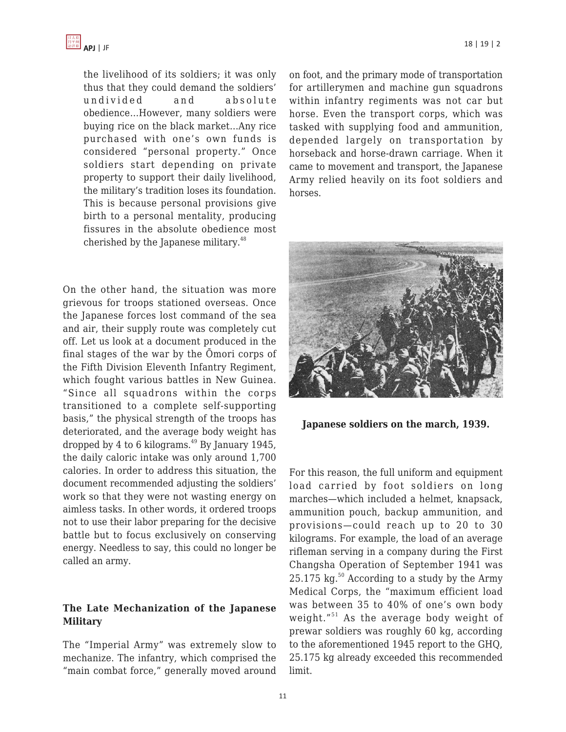

the livelihood of its soldiers; it was only thus that they could demand the soldiers' undivided and absolute obedience…However, many soldiers were buying rice on the black market…Any rice purchased with one's own funds is considered "personal property." Once soldiers start depending on private property to support their daily livelihood, the military's tradition loses its foundation. This is because personal provisions give birth to a personal mentality, producing fissures in the absolute obedience most cherished by the Japanese military.<sup>48</sup>

On the other hand, the situation was more grievous for troops stationed overseas. Once the Japanese forces lost command of the sea and air, their supply route was completely cut off. Let us look at a document produced in the final stages of the war by the Ōmori corps of the Fifth Division Eleventh Infantry Regiment, which fought various battles in New Guinea. "Since all squadrons within the corps transitioned to a complete self-supporting basis," the physical strength of the troops has deteriorated, and the average body weight has dropped by 4 to 6 kilograms. $^{49}$  By January 1945, the daily caloric intake was only around 1,700 calories. In order to address this situation, the document recommended adjusting the soldiers' work so that they were not wasting energy on aimless tasks. In other words, it ordered troops not to use their labor preparing for the decisive battle but to focus exclusively on conserving energy. Needless to say, this could no longer be called an army.

## **The Late Mechanization of the Japanese Military**

The "Imperial Army" was extremely slow to mechanize. The infantry, which comprised the "main combat force," generally moved around on foot, and the primary mode of transportation for artillerymen and machine gun squadrons within infantry regiments was not car but horse. Even the transport corps, which was tasked with supplying food and ammunition, depended largely on transportation by horseback and horse-drawn carriage. When it came to movement and transport, the Japanese Army relied heavily on its foot soldiers and horses.



**Japanese soldiers on the march, 1939.**

For this reason, the full uniform and equipment load carried by foot soldiers on long marches—which included a helmet, knapsack, ammunition pouch, backup ammunition, and provisions—could reach up to 20 to 30 kilograms. For example, the load of an average rifleman serving in a company during the First Changsha Operation of September 1941 was 25.175 kg. $^{50}$  According to a study by the Army Medical Corps, the "maximum efficient load was between 35 to 40% of one's own body weight."<sup>51</sup> As the average body weight of prewar soldiers was roughly 60 kg, according to the aforementioned 1945 report to the GHQ, 25.175 kg already exceeded this recommended limit.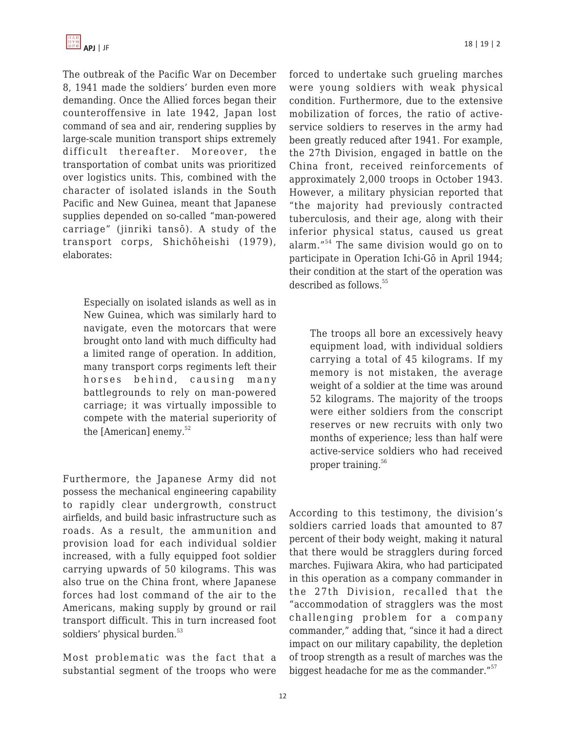The outbreak of the Pacific War on December 8, 1941 made the soldiers' burden even more demanding. Once the Allied forces began their counteroffensive in late 1942, Japan lost command of sea and air, rendering supplies by large-scale munition transport ships extremely difficult thereafter. Moreover, the transportation of combat units was prioritized over logistics units. This, combined with the character of isolated islands in the South Pacific and New Guinea, meant that Japanese supplies depended on so-called "man-powered carriage" (jinriki tansō). A study of the transport corps, Shichōheishi (1979), elaborates:

Especially on isolated islands as well as in New Guinea, which was similarly hard to navigate, even the motorcars that were brought onto land with much difficulty had a limited range of operation. In addition, many transport corps regiments left their horses behind, causing many battlegrounds to rely on man-powered carriage; it was virtually impossible to compete with the material superiority of the [American] enemy. $52$ 

Furthermore, the Japanese Army did not possess the mechanical engineering capability to rapidly clear undergrowth, construct airfields, and build basic infrastructure such as roads. As a result, the ammunition and provision load for each individual soldier increased, with a fully equipped foot soldier carrying upwards of 50 kilograms. This was also true on the China front, where Japanese forces had lost command of the air to the Americans, making supply by ground or rail transport difficult. This in turn increased foot soldiers' physical burden.<sup>53</sup>

Most problematic was the fact that a substantial segment of the troops who were forced to undertake such grueling marches were young soldiers with weak physical condition. Furthermore, due to the extensive mobilization of forces, the ratio of activeservice soldiers to reserves in the army had been greatly reduced after 1941. For example, the 27th Division, engaged in battle on the China front, received reinforcements of approximately 2,000 troops in October 1943. However, a military physician reported that "the majority had previously contracted tuberculosis, and their age, along with their inferior physical status, caused us great alarm."<sup>54</sup> The same division would go on to participate in Operation Ichi-Gō in April 1944; their condition at the start of the operation was described as follows.<sup>55</sup>

The troops all bore an excessively heavy equipment load, with individual soldiers carrying a total of 45 kilograms. If my memory is not mistaken, the average weight of a soldier at the time was around 52 kilograms. The majority of the troops were either soldiers from the conscript reserves or new recruits with only two months of experience; less than half were active-service soldiers who had received proper training.<sup>56</sup>

According to this testimony, the division's soldiers carried loads that amounted to 87 percent of their body weight, making it natural that there would be stragglers during forced marches. Fujiwara Akira, who had participated in this operation as a company commander in the 27th Division, recalled that the "accommodation of stragglers was the most challenging problem for a company commander," adding that, "since it had a direct impact on our military capability, the depletion of troop strength as a result of marches was the biggest headache for me as the commander."<sup>57</sup>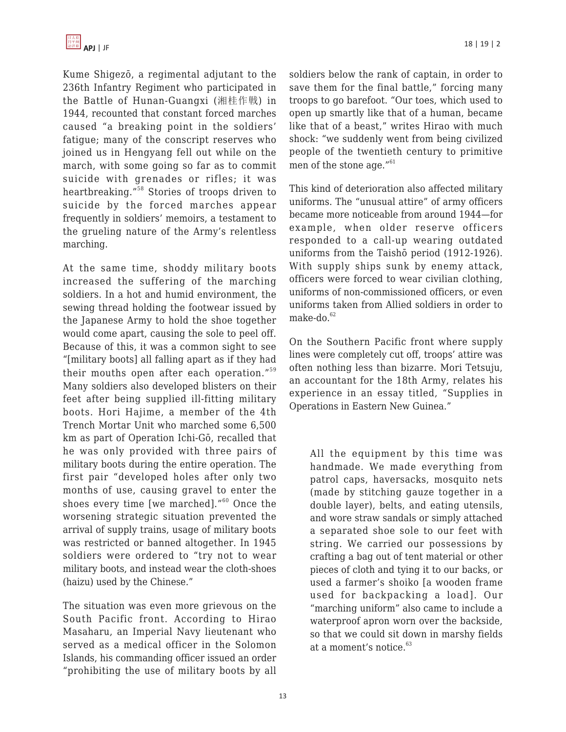

Kume Shigezō, a regimental adjutant to the 236th Infantry Regiment who participated in the Battle of Hunan-Guangxi (湘桂作戦) in 1944, recounted that constant forced marches caused "a breaking point in the soldiers' fatigue; many of the conscript reserves who joined us in Hengyang fell out while on the march, with some going so far as to commit suicide with grenades or rifles; it was heartbreaking."<sup>58</sup> Stories of troops driven to suicide by the forced marches appear frequently in soldiers' memoirs, a testament to the grueling nature of the Army's relentless marching.

At the same time, shoddy military boots increased the suffering of the marching soldiers. In a hot and humid environment, the sewing thread holding the footwear issued by the Japanese Army to hold the shoe together would come apart, causing the sole to peel off. Because of this, it was a common sight to see "[military boots] all falling apart as if they had their mouths open after each operation."<sup>59</sup> Many soldiers also developed blisters on their feet after being supplied ill-fitting military boots. Hori Hajime, a member of the 4th Trench Mortar Unit who marched some 6,500 km as part of Operation Ichi-Gō, recalled that he was only provided with three pairs of military boots during the entire operation. The first pair "developed holes after only two months of use, causing gravel to enter the shoes every time [we marched]."<sup>60</sup> Once the worsening strategic situation prevented the arrival of supply trains, usage of military boots was restricted or banned altogether. In 1945 soldiers were ordered to "try not to wear military boots, and instead wear the cloth-shoes (haizu) used by the Chinese."

The situation was even more grievous on the South Pacific front. According to Hirao Masaharu, an Imperial Navy lieutenant who served as a medical officer in the Solomon Islands, his commanding officer issued an order "prohibiting the use of military boots by all soldiers below the rank of captain, in order to save them for the final battle," forcing many troops to go barefoot. "Our toes, which used to open up smartly like that of a human, became like that of a beast," writes Hirao with much shock: "we suddenly went from being civilized people of the twentieth century to primitive men of the stone age."<sup>61</sup>

This kind of deterioration also affected military uniforms. The "unusual attire" of army officers became more noticeable from around 1944—for example, when older reserve officers responded to a call-up wearing outdated uniforms from the Taishō period (1912-1926). With supply ships sunk by enemy attack, officers were forced to wear civilian clothing, uniforms of non-commissioned officers, or even uniforms taken from Allied soldiers in order to make-do. $62$ 

On the Southern Pacific front where supply lines were completely cut off, troops' attire was often nothing less than bizarre. Mori Tetsuju, an accountant for the 18th Army, relates his experience in an essay titled, "Supplies in Operations in Eastern New Guinea."

All the equipment by this time was handmade. We made everything from patrol caps, haversacks, mosquito nets (made by stitching gauze together in a double layer), belts, and eating utensils, and wore straw sandals or simply attached a separated shoe sole to our feet with string. We carried our possessions by crafting a bag out of tent material or other pieces of cloth and tying it to our backs, or used a farmer's shoiko [a wooden frame used for backpacking a load]. Our "marching uniform" also came to include a waterproof apron worn over the backside, so that we could sit down in marshy fields at a moment's notice.<sup>63</sup>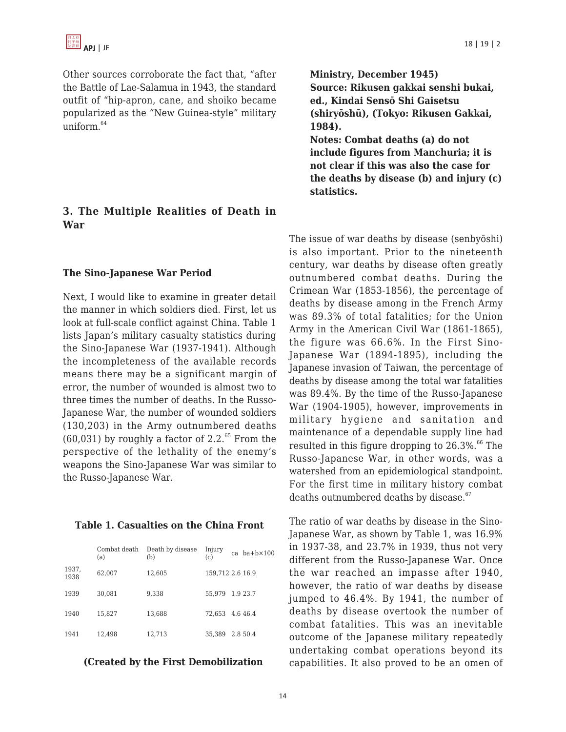Other sources corroborate the fact that, "after the Battle of Lae-Salamua in 1943, the standard outfit of "hip-apron, cane, and shoiko became popularized as the "New Guinea-style" military uniform $64$ 

## **3. The Multiple Realities of Death in War**

#### **The Sino-Japanese War Period**

Next, I would like to examine in greater detail the manner in which soldiers died. First, let us look at full-scale conflict against China. Table 1 lists Japan's military casualty statistics during the Sino-Japanese War (1937-1941). Although the incompleteness of the available records means there may be a significant margin of error, the number of wounded is almost two to three times the number of deaths. In the Russo-Japanese War, the number of wounded soldiers (130,203) in the Army outnumbered deaths  $(60,031)$  by roughly a factor of 2.2.<sup>65</sup> From the perspective of the lethality of the enemy's weapons the Sino-Japanese War was similar to the Russo-Japanese War.

#### **Table 1. Casualties on the China Front**

|               | Combat death<br>(a) | Death by disease<br>(b) | Injury<br>(c)    | $ca$ ba+ $b \times 100$ |
|---------------|---------------------|-------------------------|------------------|-------------------------|
| 1937,<br>1938 | 62,007              | 12,605                  | 159,712 2.6 16.9 |                         |
| 1939          | 30.081              | 9,338                   | 55.979           | 1.9 23.7                |
| 1940          | 15,827              | 13,688                  | 72.653           | 4.646.4                 |
| 1941          | 12.498              | 12,713                  | 35.389           | 2.8 50.4                |

#### **(Created by the First Demobilization**

**Ministry, December 1945) Source: Rikusen gakkai senshi bukai, ed., Kindai Sensō Shi Gaisetsu (shiryōshū), (Tokyo: Rikusen Gakkai, 1984). Notes: Combat deaths (a) do not include figures from Manchuria; it is not clear if this was also the case for the deaths by disease (b) and injury (c) statistics.**

The issue of war deaths by disease (senbyōshi) is also important. Prior to the nineteenth century, war deaths by disease often greatly outnumbered combat deaths. During the Crimean War (1853-1856), the percentage of deaths by disease among in the French Army was 89.3% of total fatalities; for the Union Army in the American Civil War (1861-1865), the figure was 66.6%. In the First Sino-Japanese War (1894-1895), including the Japanese invasion of Taiwan, the percentage of deaths by disease among the total war fatalities was 89.4%. By the time of the Russo-Japanese War (1904-1905), however, improvements in military hygiene and sanitation and maintenance of a dependable supply line had resulted in this figure dropping to  $26.3\%$ .<sup>66</sup> The Russo-Japanese War, in other words, was a watershed from an epidemiological standpoint. For the first time in military history combat deaths outnumbered deaths by disease.<sup>67</sup>

The ratio of war deaths by disease in the Sino-Japanese War, as shown by Table 1, was 16.9% in 1937-38, and 23.7% in 1939, thus not very different from the Russo-Japanese War. Once the war reached an impasse after 1940, however, the ratio of war deaths by disease jumped to 46.4%. By 1941, the number of deaths by disease overtook the number of combat fatalities. This was an inevitable outcome of the Japanese military repeatedly undertaking combat operations beyond its capabilities. It also proved to be an omen of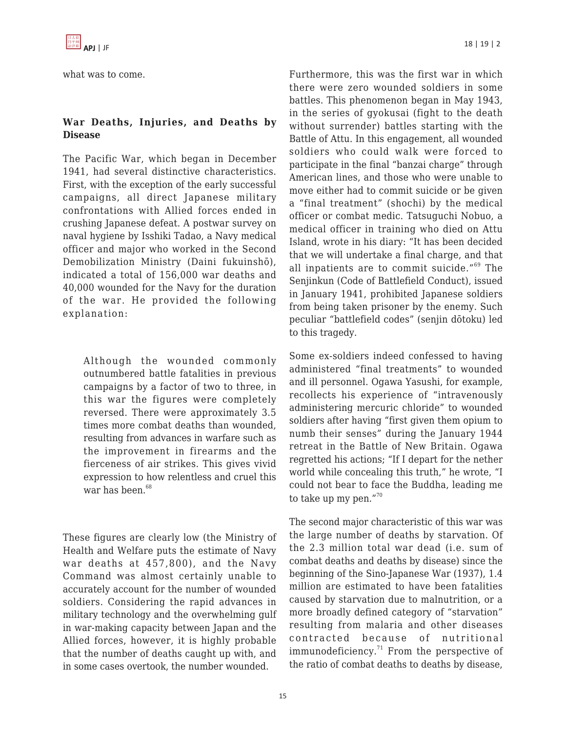what was to come.

## **War Deaths, Injuries, and Deaths by Disease**

The Pacific War, which began in December 1941, had several distinctive characteristics. First, with the exception of the early successful campaigns, all direct Japanese military confrontations with Allied forces ended in crushing Japanese defeat. A postwar survey on naval hygiene by Isshiki Tadao, a Navy medical officer and major who worked in the Second Demobilization Ministry (Daini fukuinshō), indicated a total of 156,000 war deaths and 40,000 wounded for the Navy for the duration of the war. He provided the following explanation:

Although the wounded commonly outnumbered battle fatalities in previous campaigns by a factor of two to three, in this war the figures were completely reversed. There were approximately 3.5 times more combat deaths than wounded, resulting from advances in warfare such as the improvement in firearms and the fierceness of air strikes. This gives vivid expression to how relentless and cruel this war has been. $68$ 

These figures are clearly low (the Ministry of Health and Welfare puts the estimate of Navy war deaths at 457,800), and the Navy Command was almost certainly unable to accurately account for the number of wounded soldiers. Considering the rapid advances in military technology and the overwhelming gulf in war-making capacity between Japan and the Allied forces, however, it is highly probable that the number of deaths caught up with, and in some cases overtook, the number wounded.

Furthermore, this was the first war in which there were zero wounded soldiers in some battles. This phenomenon began in May 1943, in the series of gyokusai (fight to the death without surrender) battles starting with the Battle of Attu. In this engagement, all wounded soldiers who could walk were forced to participate in the final "banzai charge" through American lines, and those who were unable to move either had to commit suicide or be given a "final treatment" (shochi) by the medical officer or combat medic. Tatsuguchi Nobuo, a medical officer in training who died on Attu Island, wrote in his diary: "It has been decided that we will undertake a final charge, and that all inpatients are to commit suicide."<sup>69</sup> The Senjinkun (Code of Battlefield Conduct), issued in January 1941, prohibited Japanese soldiers from being taken prisoner by the enemy. Such peculiar "battlefield codes" (senjin dōtoku) led to this tragedy.

Some ex-soldiers indeed confessed to having administered "final treatments" to wounded and ill personnel. Ogawa Yasushi, for example, recollects his experience of "intravenously administering mercuric chloride" to wounded soldiers after having "first given them opium to numb their senses" during the January 1944 retreat in the Battle of New Britain. Ogawa regretted his actions; "If I depart for the nether world while concealing this truth," he wrote, "I could not bear to face the Buddha, leading me to take up my pen."<sup>70</sup>

The second major characteristic of this war was the large number of deaths by starvation. Of the 2.3 million total war dead (i.e. sum of combat deaths and deaths by disease) since the beginning of the Sino-Japanese War (1937), 1.4 million are estimated to have been fatalities caused by starvation due to malnutrition, or a more broadly defined category of "starvation" resulting from malaria and other diseases contracted because of nutritional immunodeficiency. $71$  From the perspective of the ratio of combat deaths to deaths by disease,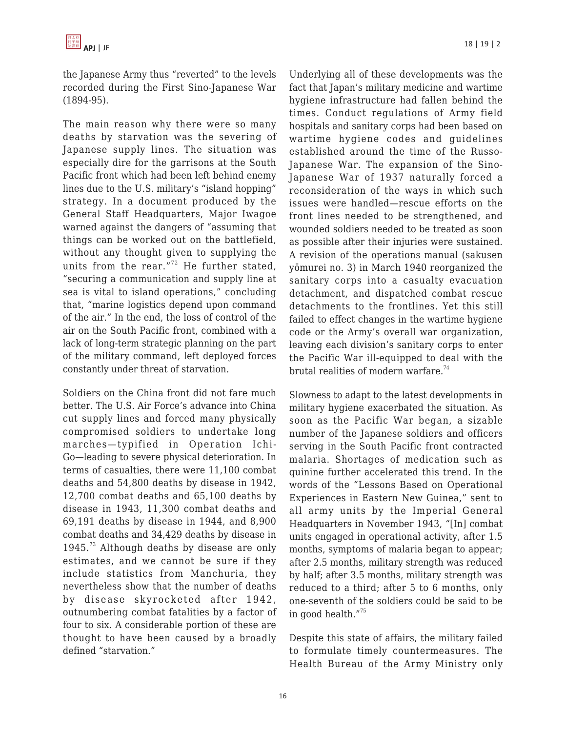the Japanese Army thus "reverted" to the levels recorded during the First Sino-Japanese War (1894-95).

The main reason why there were so many deaths by starvation was the severing of Japanese supply lines. The situation was especially dire for the garrisons at the South Pacific front which had been left behind enemy lines due to the U.S. military's "island hopping" strategy. In a document produced by the General Staff Headquarters, Major Iwagoe warned against the dangers of "assuming that things can be worked out on the battlefield, without any thought given to supplying the units from the rear."<sup>72</sup> He further stated, "securing a communication and supply line at sea is vital to island operations," concluding that, "marine logistics depend upon command of the air." In the end, the loss of control of the air on the South Pacific front, combined with a lack of long-term strategic planning on the part of the military command, left deployed forces constantly under threat of starvation.

Soldiers on the China front did not fare much better. The U.S. Air Force's advance into China cut supply lines and forced many physically compromised soldiers to undertake long marches—typified in Operation Ichi-Go—leading to severe physical deterioration. In terms of casualties, there were 11,100 combat deaths and 54,800 deaths by disease in 1942, 12,700 combat deaths and 65,100 deaths by disease in 1943, 11,300 combat deaths and 69,191 deaths by disease in 1944, and 8,900 combat deaths and 34,429 deaths by disease in  $1945.^{73}$  Although deaths by disease are only estimates, and we cannot be sure if they include statistics from Manchuria, they nevertheless show that the number of deaths by disease skyrocketed after 1942, outnumbering combat fatalities by a factor of four to six. A considerable portion of these are thought to have been caused by a broadly defined "starvation."

Underlying all of these developments was the fact that Japan's military medicine and wartime hygiene infrastructure had fallen behind the times. Conduct regulations of Army field hospitals and sanitary corps had been based on wartime hygiene codes and guidelines established around the time of the Russo-Japanese War. The expansion of the Sino-Japanese War of 1937 naturally forced a reconsideration of the ways in which such issues were handled—rescue efforts on the front lines needed to be strengthened, and wounded soldiers needed to be treated as soon as possible after their injuries were sustained. A revision of the operations manual (sakusen yōmurei no. 3) in March 1940 reorganized the sanitary corps into a casualty evacuation detachment, and dispatched combat rescue detachments to the frontlines. Yet this still failed to effect changes in the wartime hygiene code or the Army's overall war organization, leaving each division's sanitary corps to enter the Pacific War ill-equipped to deal with the brutal realities of modern warfare.<sup>74</sup>

Slowness to adapt to the latest developments in military hygiene exacerbated the situation. As soon as the Pacific War began, a sizable number of the Japanese soldiers and officers serving in the South Pacific front contracted malaria. Shortages of medication such as quinine further accelerated this trend. In the words of the "Lessons Based on Operational Experiences in Eastern New Guinea," sent to all army units by the Imperial General Headquarters in November 1943, "[In] combat units engaged in operational activity, after 1.5 months, symptoms of malaria began to appear; after 2.5 months, military strength was reduced by half; after 3.5 months, military strength was reduced to a third; after 5 to 6 months, only one-seventh of the soldiers could be said to be in good health."<sup>75</sup>

Despite this state of affairs, the military failed to formulate timely countermeasures. The Health Bureau of the Army Ministry only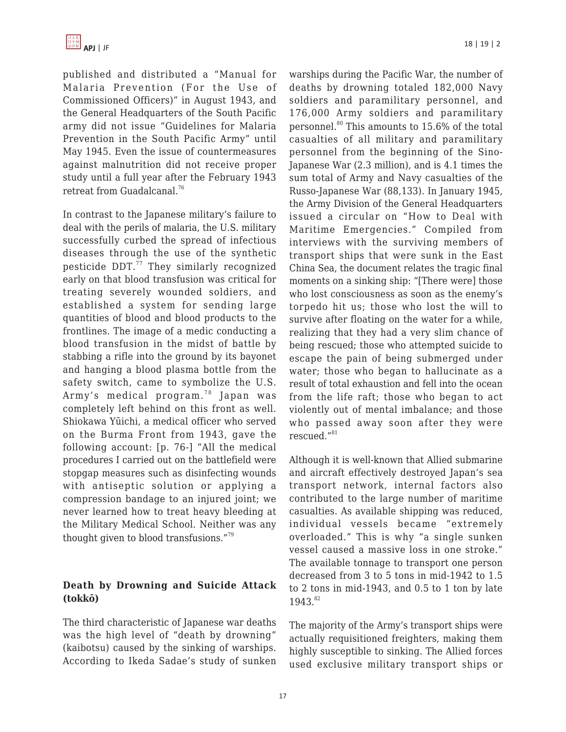published and distributed a "Manual for Malaria Prevention (For the Use of Commissioned Officers)" in August 1943, and the General Headquarters of the South Pacific army did not issue "Guidelines for Malaria Prevention in the South Pacific Army" until May 1945. Even the issue of countermeasures against malnutrition did not receive proper study until a full year after the February 1943 retreat from Guadalcanal.<sup>76</sup>

In contrast to the Japanese military's failure to deal with the perils of malaria, the U.S. military successfully curbed the spread of infectious diseases through the use of the synthetic pesticide DDT.<sup>77</sup> They similarly recognized early on that blood transfusion was critical for treating severely wounded soldiers, and established a system for sending large quantities of blood and blood products to the frontlines. The image of a medic conducting a blood transfusion in the midst of battle by stabbing a rifle into the ground by its bayonet and hanging a blood plasma bottle from the safety switch, came to symbolize the U.S. Army's medical program.<sup>78</sup> Japan was completely left behind on this front as well. Shiokawa Yūichi, a medical officer who served on the Burma Front from 1943, gave the following account: [p. 76-] "All the medical procedures I carried out on the battlefield were stopgap measures such as disinfecting wounds with antiseptic solution or applying a compression bandage to an injured joint; we never learned how to treat heavy bleeding at the Military Medical School. Neither was any thought given to blood transfusions."<sup>79</sup>

## **Death by Drowning and Suicide Attack (tokkō)**

The third characteristic of Japanese war deaths was the high level of "death by drowning" (kaibotsu) caused by the sinking of warships. According to Ikeda Sadae's study of sunken warships during the Pacific War, the number of deaths by drowning totaled 182,000 Navy soldiers and paramilitary personnel, and 176,000 Army soldiers and paramilitary personnel.<sup>80</sup> This amounts to 15.6% of the total casualties of all military and paramilitary personnel from the beginning of the Sino-Japanese War (2.3 million), and is 4.1 times the sum total of Army and Navy casualties of the Russo-Japanese War (88,133). In January 1945, the Army Division of the General Headquarters issued a circular on "How to Deal with Maritime Emergencies." Compiled from interviews with the surviving members of transport ships that were sunk in the East China Sea, the document relates the tragic final moments on a sinking ship: "[There were] those who lost consciousness as soon as the enemy's torpedo hit us; those who lost the will to survive after floating on the water for a while, realizing that they had a very slim chance of being rescued; those who attempted suicide to escape the pain of being submerged under water; those who began to hallucinate as a result of total exhaustion and fell into the ocean from the life raft; those who began to act violently out of mental imbalance; and those who passed away soon after they were rescued."<sup>81</sup>

Although it is well-known that Allied submarine and aircraft effectively destroyed Japan's sea transport network, internal factors also contributed to the large number of maritime casualties. As available shipping was reduced, individual vessels became "extremely overloaded." This is why "a single sunken vessel caused a massive loss in one stroke." The available tonnage to transport one person decreased from 3 to 5 tons in mid-1942 to 1.5 to 2 tons in mid-1943, and 0.5 to 1 ton by late 1943.82

The majority of the Army's transport ships were actually requisitioned freighters, making them highly susceptible to sinking. The Allied forces used exclusive military transport ships or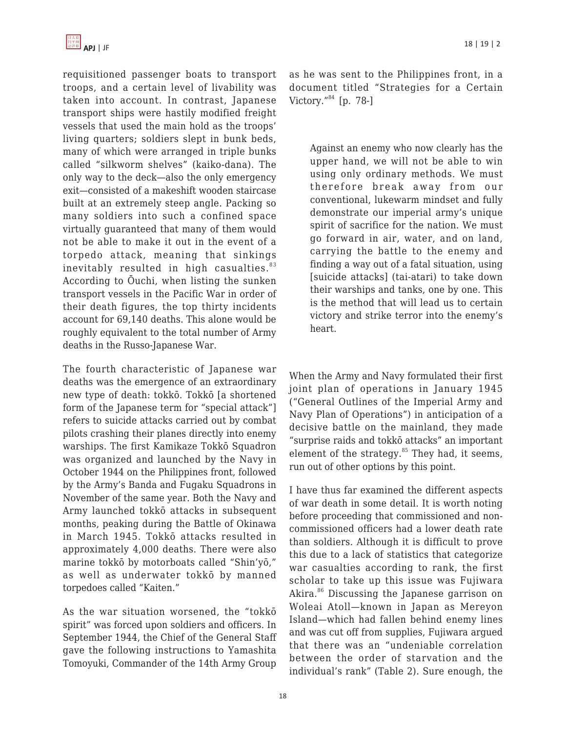requisitioned passenger boats to transport troops, and a certain level of livability was taken into account. In contrast, Japanese transport ships were hastily modified freight vessels that used the main hold as the troops' living quarters; soldiers slept in bunk beds, many of which were arranged in triple bunks called "silkworm shelves" (kaiko-dana). The only way to the deck—also the only emergency exit—consisted of a makeshift wooden staircase built at an extremely steep angle. Packing so many soldiers into such a confined space virtually guaranteed that many of them would not be able to make it out in the event of a torpedo attack, meaning that sinkings inevitably resulted in high casualties. $83$ According to Ōuchi, when listing the sunken transport vessels in the Pacific War in order of their death figures, the top thirty incidents account for 69,140 deaths. This alone would be roughly equivalent to the total number of Army deaths in the Russo-Japanese War.

The fourth characteristic of Japanese war deaths was the emergence of an extraordinary new type of death: tokkō. Tokkō [a shortened form of the Japanese term for "special attack"] refers to suicide attacks carried out by combat pilots crashing their planes directly into enemy warships. The first Kamikaze Tokkō Squadron was organized and launched by the Navy in October 1944 on the Philippines front, followed by the Army's Banda and Fugaku Squadrons in November of the same year. Both the Navy and Army launched tokkō attacks in subsequent months, peaking during the Battle of Okinawa in March 1945. Tokkō attacks resulted in approximately 4,000 deaths. There were also marine tokkō by motorboats called "Shin'yō," as well as underwater tokkō by manned torpedoes called "Kaiten."

As the war situation worsened, the "tokkō spirit" was forced upon soldiers and officers. In September 1944, the Chief of the General Staff gave the following instructions to Yamashita Tomoyuki, Commander of the 14th Army Group as he was sent to the Philippines front, in a document titled "Strategies for a Certain Victory."<sup>84</sup> [p. 78-]

Against an enemy who now clearly has the upper hand, we will not be able to win using only ordinary methods. We must therefore break away from our conventional, lukewarm mindset and fully demonstrate our imperial army's unique spirit of sacrifice for the nation. We must go forward in air, water, and on land, carrying the battle to the enemy and finding a way out of a fatal situation, using [suicide attacks] (tai-atari) to take down their warships and tanks, one by one. This is the method that will lead us to certain victory and strike terror into the enemy's heart.

When the Army and Navy formulated their first joint plan of operations in January 1945 ("General Outlines of the Imperial Army and Navy Plan of Operations") in anticipation of a decisive battle on the mainland, they made "surprise raids and tokkō attacks" an important element of the strategy. $85$  They had, it seems, run out of other options by this point.

I have thus far examined the different aspects of war death in some detail. It is worth noting before proceeding that commissioned and noncommissioned officers had a lower death rate than soldiers. Although it is difficult to prove this due to a lack of statistics that categorize war casualties according to rank, the first scholar to take up this issue was Fujiwara Akira.<sup>86</sup> Discussing the Japanese garrison on Woleai Atoll—known in Japan as Mereyon Island—which had fallen behind enemy lines and was cut off from supplies, Fujiwara argued that there was an "undeniable correlation between the order of starvation and the individual's rank" (Table 2). Sure enough, the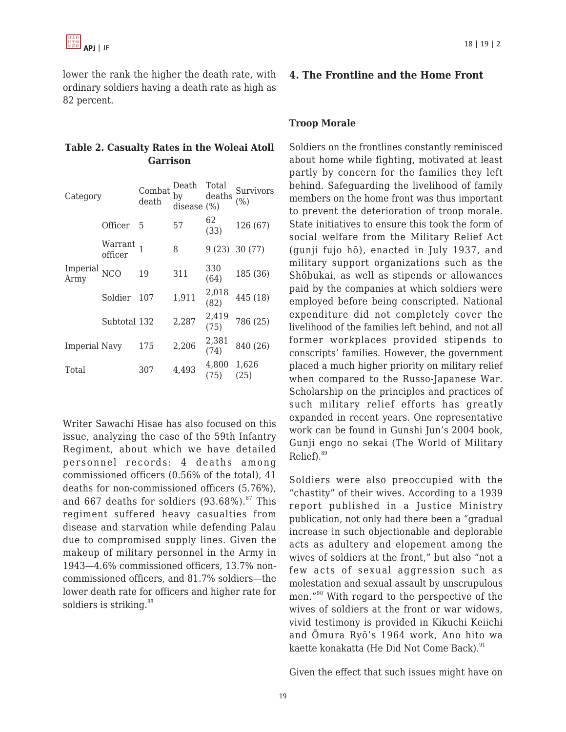lower the rank the higher the death rate, with ordinary soldiers having a death rate as high as 82 percent.

|                 |  | Table 2. Casualty Rates in the Woleai Atoll |  |  |  |  |  |
|-----------------|--|---------------------------------------------|--|--|--|--|--|
| <b>Garrison</b> |  |                                             |  |  |  |  |  |

| Category             |                    | Combat<br>death | Death<br>by<br>disease $(\%)$ | Total<br>deaths | Survivors<br>(%) |
|----------------------|--------------------|-----------------|-------------------------------|-----------------|------------------|
|                      | Officer            | 5               | 57                            | 62<br>(33)      | 126 (67)         |
| Imperial NCO<br>Army | Warrant<br>officer |                 | 8                             | 9(23)           | 30 (77)          |
|                      |                    | 19              | 311                           | 330<br>(64)     | 185 (36)         |
|                      | Soldier            | 107             | 1,911                         | 2,018<br>(82)   | 445 (18)         |
|                      | Subtotal 132       |                 | 2,287                         | 2,419<br>(75)   | 786 (25)         |
| Imperial Navy        |                    | 175             | 2,206                         | 2,381<br>(74)   | 840 (26)         |
| Total                |                    | 307             | 4,493                         | 4,800<br>(75)   | 1,626<br>(25)    |

Writer Sawachi Hisae has also focused on this issue, analyzing the case of the 59th Infantry Regiment, about which we have detailed personnel records: 4 deaths among commissioned officers (0.56% of the total), 41 deaths for non-commissioned officers (5.76%), and 667 deaths for soldiers  $(93.68\%)$ .<sup>87</sup> This regiment suffered heavy casualties from disease and starvation while defending Palau due to compromised supply lines. Given the makeup of military personnel in the Army in 1943—4.6% commissioned officers, 13.7% noncommissioned officers, and 81.7% soldiers—the lower death rate for officers and higher rate for soldiers is striking.<sup>88</sup>

## **4. The Frontline and the Home Front**

## **Troop Morale**

Soldiers on the frontlines constantly reminisced about home while fighting, motivated at least partly by concern for the families they left behind. Safeguarding the livelihood of family members on the home front was thus important to prevent the deterioration of troop morale. State initiatives to ensure this took the form of social welfare from the Military Relief Act (gunji fujo hō), enacted in July 1937, and military support organizations such as the Shōbukai, as well as stipends or allowances paid by the companies at which soldiers were employed before being conscripted. National expenditure did not completely cover the livelihood of the families left behind, and not all former workplaces provided stipends to conscripts' families. However, the government placed a much higher priority on military relief when compared to the Russo-Japanese War. Scholarship on the principles and practices of such military relief efforts has greatly expanded in recent years. One representative work can be found in Gunshi Jun's 2004 book, Gunji engo no sekai (The World of Military Relief).<sup>89</sup>

Soldiers were also preoccupied with the "chastity" of their wives. According to a 1939 report published in a Justice Ministry publication, not only had there been a "gradual increase in such objectionable and deplorable acts as adultery and elopement among the wives of soldiers at the front," but also "not a few acts of sexual aggression such as molestation and sexual assault by unscrupulous men."<sup>90</sup> With regard to the perspective of the wives of soldiers at the front or war widows, vivid testimony is provided in Kikuchi Keiichi and Ōmura Ryō's 1964 work, Ano hito wa kaette konakatta (He Did Not Come Back).<sup>91</sup>

Given the effect that such issues might have on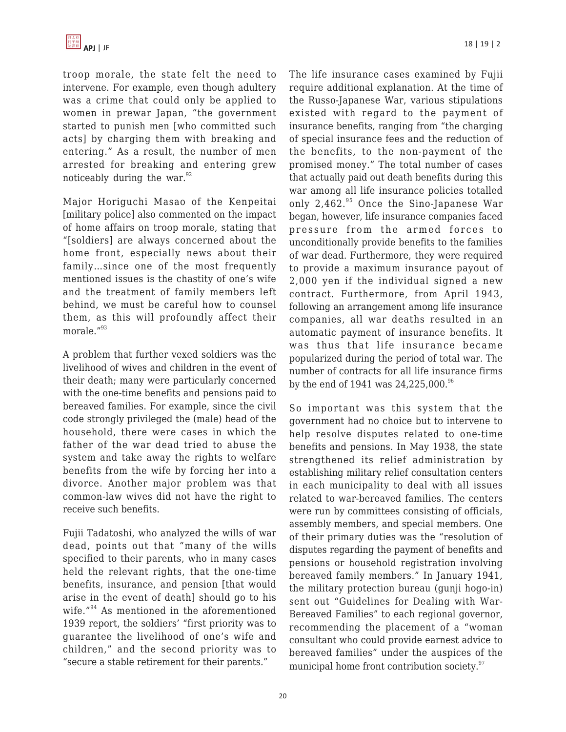troop morale, the state felt the need to intervene. For example, even though adultery was a crime that could only be applied to women in prewar Japan, "the government started to punish men [who committed such acts] by charging them with breaking and entering." As a result, the number of men arrested for breaking and entering grew noticeably during the war. $92$ 

Major Horiguchi Masao of the Kenpeitai [military police] also commented on the impact of home affairs on troop morale, stating that "[soldiers] are always concerned about the home front, especially news about their family…since one of the most frequently mentioned issues is the chastity of one's wife and the treatment of family members left behind, we must be careful how to counsel them, as this will profoundly affect their morale."<sup>93</sup>

A problem that further vexed soldiers was the livelihood of wives and children in the event of their death; many were particularly concerned with the one-time benefits and pensions paid to bereaved families. For example, since the civil code strongly privileged the (male) head of the household, there were cases in which the father of the war dead tried to abuse the system and take away the rights to welfare benefits from the wife by forcing her into a divorce. Another major problem was that common-law wives did not have the right to receive such benefits.

Fujii Tadatoshi, who analyzed the wills of war dead, points out that "many of the wills specified to their parents, who in many cases held the relevant rights, that the one-time benefits, insurance, and pension [that would arise in the event of death] should go to his wife."<sup>94</sup> As mentioned in the aforementioned 1939 report, the soldiers' "first priority was to guarantee the livelihood of one's wife and children," and the second priority was to "secure a stable retirement for their parents."

The life insurance cases examined by Fujii require additional explanation. At the time of the Russo-Japanese War, various stipulations existed with regard to the payment of insurance benefits, ranging from "the charging of special insurance fees and the reduction of the benefits, to the non-payment of the promised money." The total number of cases that actually paid out death benefits during this war among all life insurance policies totalled only  $2,462.^{95}$  Once the Sino-Japanese War began, however, life insurance companies faced pressure from the armed forces to unconditionally provide benefits to the families of war dead. Furthermore, they were required to provide a maximum insurance payout of 2,000 yen if the individual signed a new contract. Furthermore, from April 1943, following an arrangement among life insurance companies, all war deaths resulted in an automatic payment of insurance benefits. It was thus that life insurance became popularized during the period of total war. The number of contracts for all life insurance firms by the end of 1941 was  $24,225,000.^{96}$ 

So important was this system that the government had no choice but to intervene to help resolve disputes related to one-time benefits and pensions. In May 1938, the state strengthened its relief administration by establishing military relief consultation centers in each municipality to deal with all issues related to war-bereaved families. The centers were run by committees consisting of officials, assembly members, and special members. One of their primary duties was the "resolution of disputes regarding the payment of benefits and pensions or household registration involving bereaved family members." In January 1941, the military protection bureau (gunji hogo-in) sent out "Guidelines for Dealing with War-Bereaved Families" to each regional governor, recommending the placement of a "woman consultant who could provide earnest advice to bereaved families" under the auspices of the municipal home front contribution society.<sup>97</sup>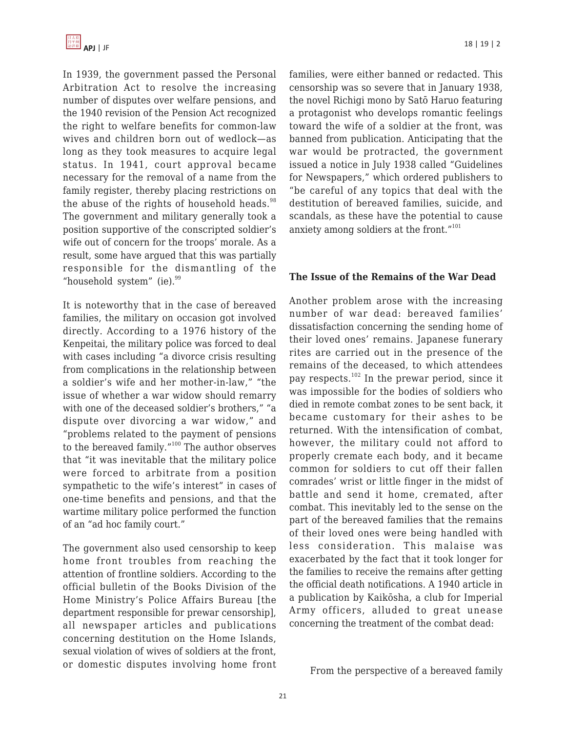In 1939, the government passed the Personal Arbitration Act to resolve the increasing number of disputes over welfare pensions, and the 1940 revision of the Pension Act recognized the right to welfare benefits for common-law wives and children born out of wedlock—as long as they took measures to acquire legal status. In 1941, court approval became necessary for the removal of a name from the family register, thereby placing restrictions on the abuse of the rights of household heads. $98$ The government and military generally took a position supportive of the conscripted soldier's wife out of concern for the troops' morale. As a result, some have argued that this was partially responsible for the dismantling of the "household system" (ie). $99$ 

It is noteworthy that in the case of bereaved families, the military on occasion got involved directly. According to a 1976 history of the Kenpeitai, the military police was forced to deal with cases including "a divorce crisis resulting from complications in the relationship between a soldier's wife and her mother-in-law," "the issue of whether a war widow should remarry with one of the deceased soldier's brothers," "a dispute over divorcing a war widow," and "problems related to the payment of pensions to the bereaved family."<sup>100</sup> The author observes that "it was inevitable that the military police were forced to arbitrate from a position sympathetic to the wife's interest" in cases of one-time benefits and pensions, and that the wartime military police performed the function of an "ad hoc family court."

The government also used censorship to keep home front troubles from reaching the attention of frontline soldiers. According to the official bulletin of the Books Division of the Home Ministry's Police Affairs Bureau [the department responsible for prewar censorship], all newspaper articles and publications concerning destitution on the Home Islands, sexual violation of wives of soldiers at the front, or domestic disputes involving home front families, were either banned or redacted. This censorship was so severe that in January 1938, the novel Richigi mono by Satō Haruo featuring a protagonist who develops romantic feelings toward the wife of a soldier at the front, was banned from publication. Anticipating that the war would be protracted, the government issued a notice in July 1938 called "Guidelines for Newspapers," which ordered publishers to "be careful of any topics that deal with the destitution of bereaved families, suicide, and scandals, as these have the potential to cause anxiety among soldiers at the front."<sup>101</sup>

## **The Issue of the Remains of the War Dead**

Another problem arose with the increasing number of war dead: bereaved families' dissatisfaction concerning the sending home of their loved ones' remains. Japanese funerary rites are carried out in the presence of the remains of the deceased, to which attendees pay respects.<sup>102</sup> In the prewar period, since it was impossible for the bodies of soldiers who died in remote combat zones to be sent back, it became customary for their ashes to be returned. With the intensification of combat, however, the military could not afford to properly cremate each body, and it became common for soldiers to cut off their fallen comrades' wrist or little finger in the midst of battle and send it home, cremated, after combat. This inevitably led to the sense on the part of the bereaved families that the remains of their loved ones were being handled with less consideration. This malaise was exacerbated by the fact that it took longer for the families to receive the remains after getting the official death notifications. A 1940 article in a publication by Kaikōsha, a club for Imperial Army officers, alluded to great unease concerning the treatment of the combat dead:

From the perspective of a bereaved family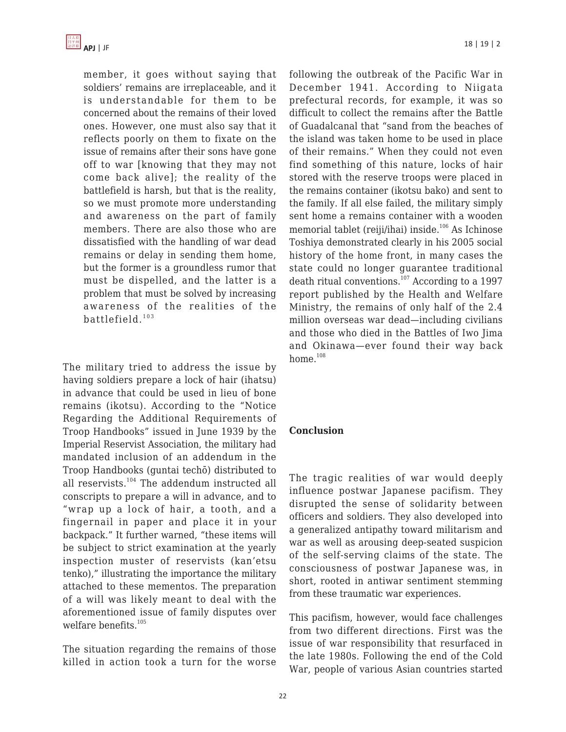member, it goes without saying that soldiers' remains are irreplaceable, and it is understandable for them to be concerned about the remains of their loved ones. However, one must also say that it reflects poorly on them to fixate on the issue of remains after their sons have gone off to war [knowing that they may not come back alive]; the reality of the battlefield is harsh, but that is the reality, so we must promote more understanding and awareness on the part of family members. There are also those who are dissatisfied with the handling of war dead remains or delay in sending them home, but the former is a groundless rumor that must be dispelled, and the latter is a problem that must be solved by increasing awareness of the realities of the battlefield. <sup>103</sup>

The military tried to address the issue by having soldiers prepare a lock of hair (ihatsu) in advance that could be used in lieu of bone remains (ikotsu). According to the "Notice Regarding the Additional Requirements of Troop Handbooks" issued in June 1939 by the Imperial Reservist Association, the military had mandated inclusion of an addendum in the Troop Handbooks (guntai techō) distributed to all reservists.<sup>104</sup> The addendum instructed all conscripts to prepare a will in advance, and to "wrap up a lock of hair, a tooth, and a fingernail in paper and place it in your backpack." It further warned, "these items will be subject to strict examination at the yearly inspection muster of reservists (kan'etsu tenko)," illustrating the importance the military attached to these mementos. The preparation of a will was likely meant to deal with the aforementioned issue of family disputes over welfare benefits.<sup>105</sup>

The situation regarding the remains of those killed in action took a turn for the worse following the outbreak of the Pacific War in December 1941. According to Niigata prefectural records, for example, it was so difficult to collect the remains after the Battle of Guadalcanal that "sand from the beaches of the island was taken home to be used in place of their remains." When they could not even find something of this nature, locks of hair stored with the reserve troops were placed in the remains container (ikotsu bako) and sent to the family. If all else failed, the military simply sent home a remains container with a wooden memorial tablet (reiji/ihai) inside. $106$  As Ichinose Toshiya demonstrated clearly in his 2005 social history of the home front, in many cases the state could no longer guarantee traditional death ritual conventions.<sup>107</sup> According to a 1997 report published by the Health and Welfare Ministry, the remains of only half of the 2.4 million overseas war dead—including civilians and those who died in the Battles of Iwo Jima and Okinawa—ever found their way back home. $108$ 

## **Conclusion**

The tragic realities of war would deeply influence postwar Japanese pacifism. They disrupted the sense of solidarity between officers and soldiers. They also developed into a generalized antipathy toward militarism and war as well as arousing deep-seated suspicion of the self-serving claims of the state. The consciousness of postwar Japanese was, in short, rooted in antiwar sentiment stemming from these traumatic war experiences.

This pacifism, however, would face challenges from two different directions. First was the issue of war responsibility that resurfaced in the late 1980s. Following the end of the Cold War, people of various Asian countries started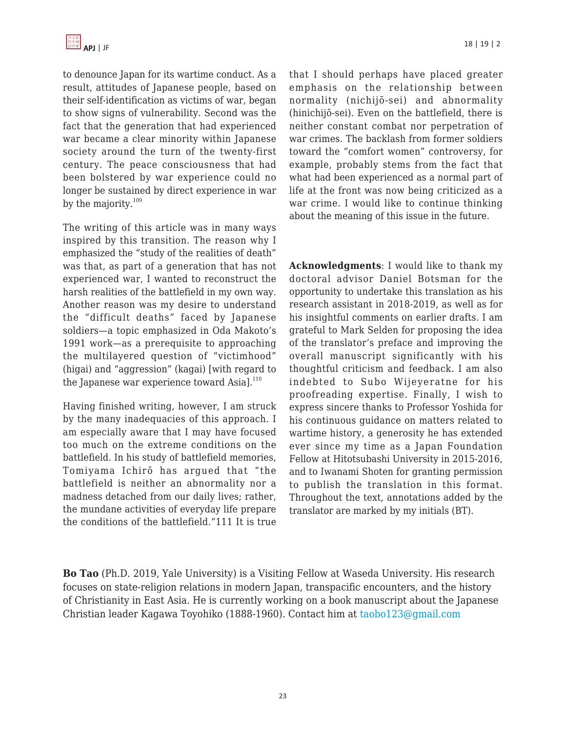

to denounce Japan for its wartime conduct. As a result, attitudes of Japanese people, based on their self-identification as victims of war, began to show signs of vulnerability. Second was the fact that the generation that had experienced war became a clear minority within Japanese society around the turn of the twenty-first century. The peace consciousness that had been bolstered by war experience could no longer be sustained by direct experience in war by the majority.<sup>109</sup>

The writing of this article was in many ways inspired by this transition. The reason why I emphasized the "study of the realities of death" was that, as part of a generation that has not experienced war, I wanted to reconstruct the harsh realities of the battlefield in my own way. Another reason was my desire to understand the "difficult deaths" faced by Japanese soldiers—a topic emphasized in Oda Makoto's 1991 work—as a prerequisite to approaching the multilayered question of "victimhood" (higai) and "aggression" (kagai) [with regard to the Japanese war experience toward Asial.<sup>110</sup>

Having finished writing, however, I am struck by the many inadequacies of this approach. I am especially aware that I may have focused too much on the extreme conditions on the battlefield. In his study of battlefield memories, Tomiyama Ichirō has argued that "the battlefield is neither an abnormality nor a madness detached from our daily lives; rather, the mundane activities of everyday life prepare the conditions of the battlefield."111 It is true that I should perhaps have placed greater emphasis on the relationship between normality (nichijō-sei) and abnormality (hinichijō-sei). Even on the battlefield, there is neither constant combat nor perpetration of war crimes. The backlash from former soldiers toward the "comfort women" controversy, for example, probably stems from the fact that what had been experienced as a normal part of life at the front was now being criticized as a war crime. I would like to continue thinking about the meaning of this issue in the future.

**Acknowledgments**: I would like to thank my doctoral advisor Daniel Botsman for the opportunity to undertake this translation as his research assistant in 2018-2019, as well as for his insightful comments on earlier drafts. I am grateful to Mark Selden for proposing the idea of the translator's preface and improving the overall manuscript significantly with his thoughtful criticism and feedback. I am also indebted to Subo Wijeyeratne for his proofreading expertise. Finally, I wish to express sincere thanks to Professor Yoshida for his continuous guidance on matters related to wartime history, a generosity he has extended ever since my time as a Japan Foundation Fellow at Hitotsubashi University in 2015-2016, and to Iwanami Shoten for granting permission to publish the translation in this format. Throughout the text, annotations added by the translator are marked by my initials (BT).

**Bo Tao** (Ph.D. 2019, Yale University) is a Visiting Fellow at Waseda University. His research focuses on state-religion relations in modern Japan, transpacific encounters, and the history of Christianity in East Asia. He is currently working on a book manuscript about the Japanese Christian leader Kagawa Toyohiko (1888-1960). Contact him at [taobo123@gmail.com](https://apjjf.org/mailto:taobo123@gmail.com)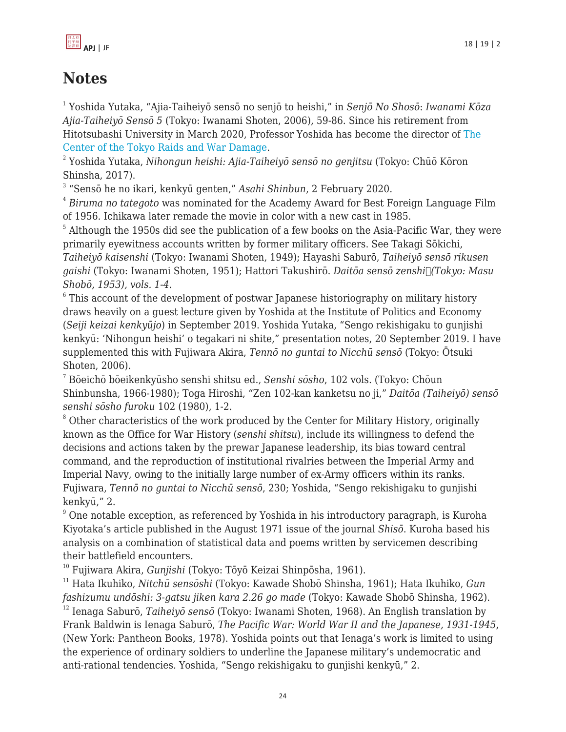

# **Notes**

1 Yoshida Yutaka, "Ajia-Taiheiyō sensō no senjō to heishi," in *Senjō No Shosō*: *Iwanami Kōza Ajia-Taiheiyō Sensō 5* (Tokyo: Iwanami Shoten, 2006), 59-86. Since his retirement from Hitotsubashi University in March 2020, Professor Yoshida has become the director of [The](https://tokyo-sensai.net/) [Center of the Tokyo Raids and War Damage.](https://tokyo-sensai.net/)

2 Yoshida Yutaka, *Nihongun heishi: Ajia-Taiheiyō sensō no genjitsu* (Tokyo: Chūō Kōron Shinsha, 2017).

3 "Sensō he no ikari, kenkyū genten," *Asahi Shinbun*, 2 February 2020.

 $^4$  *Biruma no tategoto w*as nominated for the Academy Award for Best Foreign Language Film of 1956. Ichikawa later remade the movie in color with a new cast in 1985.

 $^5$  Although the 1950s did see the publication of a few books on the Asia-Pacific War, they were primarily eyewitness accounts written by former military officers. See Takagi Sōkichi, *Taiheiyō kaisenshi* (Tokyo: Iwanami Shoten, 1949); Hayashi Saburō, *Taiheiyō sensō rikusen gaishi* (Tokyo: Iwanami Shoten, 1951); Hattori Takushirō. *Daitōa sensō zenshi (Tokyo: Masu Shobō, 1953), vols. 1-4.*

 $^6$  This account of the development of postwar Japanese historiography on military history draws heavily on a guest lecture given by Yoshida at the Institute of Politics and Economy (*Seiji keizai kenkyūjo*) in September 2019. Yoshida Yutaka, "Sengo rekishigaku to gunjishi kenkyū: 'Nihongun heishi' o tegakari ni shite," presentation notes, 20 September 2019. I have supplemented this with Fujiwara Akira, *Tennō no guntai to Nicchū sensō* (Tokyo: Ōtsuki Shoten, 2006).

7 Bōeichō bōeikenkyūsho senshi shitsu ed., *Senshi sōsho*, 102 vols. (Tokyo: Chōun Shinbunsha, 1966-1980); Toga Hiroshi, "Zen 102-kan kanketsu no ji," *Daitōa (Taiheiyō) sensō senshi sōsho furoku* 102 (1980), 1-2.

 $8$  Other characteristics of the work produced by the Center for Military History, originally known as the Office for War History (*senshi shitsu*), include its willingness to defend the decisions and actions taken by the prewar Japanese leadership, its bias toward central command, and the reproduction of institutional rivalries between the Imperial Army and Imperial Navy, owing to the initially large number of ex-Army officers within its ranks. Fujiwara, *Tennō no guntai to Nicchū sensō*, 230; Yoshida, "Sengo rekishigaku to gunjishi kenkyū," 2.

<sup>9</sup> One notable exception, as referenced by Yoshida in his introductory paragraph, is Kuroha Kiyotaka's article published in the August 1971 issue of the journal *Shisō*. Kuroha based his analysis on a combination of statistical data and poems written by servicemen describing their battlefield encounters.

<sup>10</sup> Fujiwara Akira, *Gunjishi* (Tokyo: Tōyō Keizai Shinpōsha, 1961).

<sup>11</sup> Hata Ikuhiko, *Nitchū sensōshi* (Tokyo: Kawade Shobō Shinsha, 1961); Hata Ikuhiko, *Gun fashizumu undōshi: 3-gatsu jiken kara 2.26 go made* (Tokyo: Kawade Shobō Shinsha, 1962).

<sup>12</sup> Ienaga Saburō, *Taiheiyō sensō* (Tokyo: Iwanami Shoten, 1968). An English translation by Frank Baldwin is Ienaga Saburō, *The Pacific War: World War II and the Japanese, 1931-1945*, (New York: Pantheon Books, 1978). Yoshida points out that Ienaga's work is limited to using the experience of ordinary soldiers to underline the Japanese military's undemocratic and anti-rational tendencies. Yoshida, "Sengo rekishigaku to gunjishi kenkyū," 2.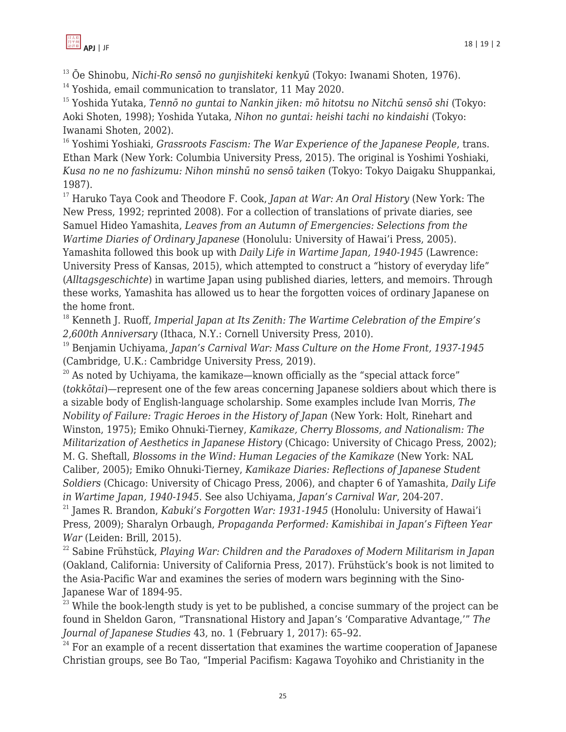<sup>13</sup> Ōe Shinobu, *Nichi-Ro sensō no gunjishiteki kenkyū* (Tokyo: Iwanami Shoten, 1976).

<sup>14</sup> Yoshida, email communication to translator, 11 May 2020.

<sup>15</sup> Yoshida Yutaka, *Tennō no guntai to Nankin jiken: mō hitotsu no Nitchū sensō shi* (Tokyo: Aoki Shoten, 1998); Yoshida Yutaka, *Nihon no guntai: heishi tachi no kindaishi* (Tokyo: Iwanami Shoten, 2002).

<sup>16</sup> Yoshimi Yoshiaki, *Grassroots Fascism: The War Experience of the Japanese People*, trans. Ethan Mark (New York: Columbia University Press, 2015). The original is Yoshimi Yoshiaki, *Kusa no ne no fashizumu: Nihon minshū no sensō taiken* (Tokyo: Tokyo Daigaku Shuppankai, 1987).

<sup>17</sup> Haruko Taya Cook and Theodore F. Cook, *Japan at War: An Oral History* (New York: The New Press, 1992; reprinted 2008). For a collection of translations of private diaries, see Samuel Hideo Yamashita, *Leaves from an Autumn of Emergencies: Selections from the Wartime Diaries of Ordinary Japanese* (Honolulu: University of Hawai'i Press, 2005). Yamashita followed this book up with *Daily Life in Wartime Japan, 1940-1945* (Lawrence: University Press of Kansas, 2015), which attempted to construct a "history of everyday life" (*Alltagsgeschichte*) in wartime Japan using published diaries, letters, and memoirs. Through these works, Yamashita has allowed us to hear the forgotten voices of ordinary Japanese on the home front.

<sup>18</sup> Kenneth J. Ruoff, *Imperial Japan at Its Zenith: The Wartime Celebration of the Empire's 2,600th Anniversary* (Ithaca, N.Y.: Cornell University Press, 2010).

<sup>19</sup> Benjamin Uchiyama, *Japan's Carnival War: Mass Culture on the Home Front, 1937-1945* (Cambridge, U.K.: Cambridge University Press, 2019).

 $20$  As noted by Uchiyama, the kamikaze—known officially as the "special attack force" (*tokkōtai*)—represent one of the few areas concerning Japanese soldiers about which there is a sizable body of English-language scholarship. Some examples include Ivan Morris, *The Nobility of Failure: Tragic Heroes in the History of Japan* (New York: Holt, Rinehart and Winston, 1975); Emiko Ohnuki-Tierney, *Kamikaze, Cherry Blossoms, and Nationalism: The Militarization of Aesthetics in Japanese History* (Chicago: University of Chicago Press, 2002); M. G. Sheftall, *Blossoms in the Wind: Human Legacies of the Kamikaze* (New York: NAL Caliber, 2005); Emiko Ohnuki-Tierney, *Kamikaze Diaries: Reflections of Japanese Student Soldiers* (Chicago: University of Chicago Press, 2006), and chapter 6 of Yamashita, *Daily Life in Wartime Japan, 1940-1945*. See also Uchiyama, *Japan's Carnival War*, 204-207.

<sup>21</sup> James R. Brandon, *Kabuki's Forgotten War: 1931-1945* (Honolulu: University of Hawai'i Press, 2009); Sharalyn Orbaugh, *Propaganda Performed: Kamishibai in Japan's Fifteen Year War* (Leiden: Brill, 2015).

<sup>22</sup> Sabine Frühstück, *Playing War: Children and the Paradoxes of Modern Militarism in Japan* (Oakland, California: University of California Press, 2017). Frühstück's book is not limited to the Asia-Pacific War and examines the series of modern wars beginning with the Sino-Japanese War of 1894-95.

 $^{23}$  While the book-length study is yet to be published, a concise summary of the project can be found in Sheldon Garon, "Transnational History and Japan's 'Comparative Advantage,'" *The Journal of Japanese Studies* 43, no. 1 (February 1, 2017): 65–92.

 $24$  For an example of a recent dissertation that examines the wartime cooperation of Japanese Christian groups, see Bo Tao, "Imperial Pacifism: Kagawa Toyohiko and Christianity in the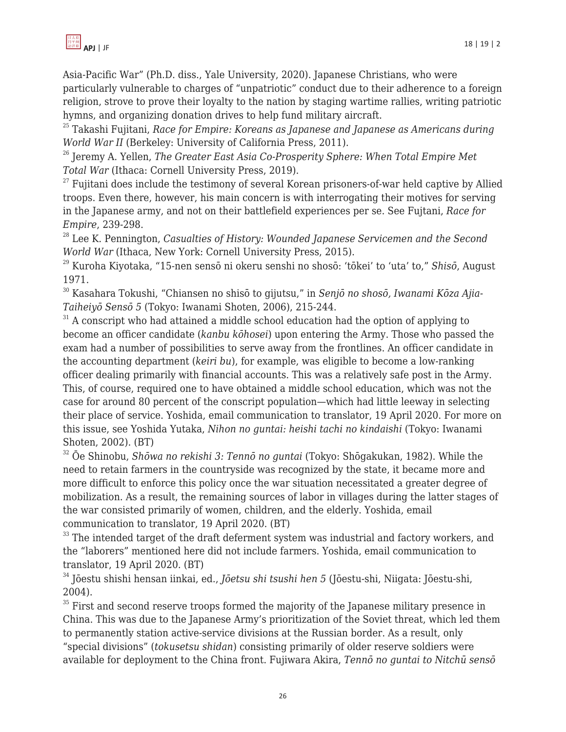

Asia-Pacific War" (Ph.D. diss., Yale University, 2020). Japanese Christians, who were particularly vulnerable to charges of "unpatriotic" conduct due to their adherence to a foreign religion, strove to prove their loyalty to the nation by staging wartime rallies, writing patriotic hymns, and organizing donation drives to help fund military aircraft.

<sup>25</sup> Takashi Fujitani, *Race for Empire: Koreans as Japanese and Japanese as Americans during World War II* (Berkeley: University of California Press, 2011).

<sup>26</sup> Jeremy A. Yellen, *The Greater East Asia Co-Prosperity Sphere: When Total Empire Met Total War* (Ithaca: Cornell University Press, 2019).

 $27$  Fujitani does include the testimony of several Korean prisoners-of-war held captive by Allied troops. Even there, however, his main concern is with interrogating their motives for serving in the Japanese army, and not on their battlefield experiences per se. See Fujtani, *Race for Empire*, 239-298.

<sup>28</sup> Lee K. Pennington, *Casualties of History: Wounded Japanese Servicemen and the Second World War* (Ithaca, New York: Cornell University Press, 2015).

<sup>29</sup> Kuroha Kiyotaka, "15-nen sensō ni okeru senshi no shosō: 'tōkei' to 'uta' to," *Shisō*, August 1971.

<sup>30</sup> Kasahara Tokushi, "Chiansen no shisō to gijutsu," in *Senjō no shosō, Iwanami Kōza Ajia-Taiheiyō Sensō 5* (Tokyo: Iwanami Shoten, 2006), 215-244.

<sup>31</sup> A conscript who had attained a middle school education had the option of applying to become an officer candidate (*kanbu kōhosei*) upon entering the Army. Those who passed the exam had a number of possibilities to serve away from the frontlines. An officer candidate in the accounting department (*keiri bu*), for example, was eligible to become a low-ranking officer dealing primarily with financial accounts. This was a relatively safe post in the Army. This, of course, required one to have obtained a middle school education, which was not the case for around 80 percent of the conscript population—which had little leeway in selecting their place of service. Yoshida, email communication to translator, 19 April 2020. For more on this issue, see Yoshida Yutaka, *Nihon no guntai: heishi tachi no kindaishi* (Tokyo: Iwanami Shoten, 2002). (BT)

<sup>32</sup> Ōe Shinobu, *Shōwa no rekishi 3: Tennō no guntai* (Tokyo: Shōgakukan, 1982). While the need to retain farmers in the countryside was recognized by the state, it became more and more difficult to enforce this policy once the war situation necessitated a greater degree of mobilization. As a result, the remaining sources of labor in villages during the latter stages of the war consisted primarily of women, children, and the elderly. Yoshida, email communication to translator, 19 April 2020. (BT)

 $33$  The intended target of the draft deferment system was industrial and factory workers, and the "laborers" mentioned here did not include farmers. Yoshida, email communication to translator, 19 April 2020. (BT)

<sup>34</sup> Jōestu shishi hensan iinkai, ed., *Jōetsu shi tsushi hen 5* (Jōestu-shi, Niigata: Jōestu-shi, 2004).

 $35$  First and second reserve troops formed the majority of the Japanese military presence in China. This was due to the Japanese Army's prioritization of the Soviet threat, which led them to permanently station active-service divisions at the Russian border. As a result, only "special divisions" (*tokusetsu shidan*) consisting primarily of older reserve soldiers were available for deployment to the China front. Fujiwara Akira, *Tennō no guntai to Nitchū sensō*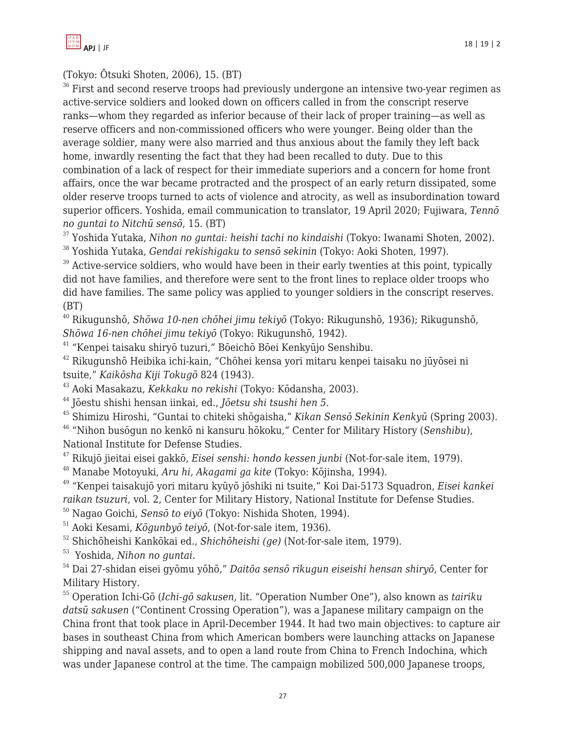(Tokyo: Ōtsuki Shoten, 2006), 15. (BT)

 $36$  First and second reserve troops had previously undergone an intensive two-year regimen as active-service soldiers and looked down on officers called in from the conscript reserve ranks—whom they regarded as inferior because of their lack of proper training—as well as reserve officers and non-commissioned officers who were younger. Being older than the average soldier, many were also married and thus anxious about the family they left back home, inwardly resenting the fact that they had been recalled to duty. Due to this combination of a lack of respect for their immediate superiors and a concern for home front affairs, once the war became protracted and the prospect of an early return dissipated, some older reserve troops turned to acts of violence and atrocity, as well as insubordination toward superior officers. Yoshida, email communication to translator, 19 April 2020; Fujiwara, *Tennō no guntai to Nitchū sensō*, 15. (BT)

<sup>37</sup> Yoshida Yutaka, *Nihon no guntai: heishi tachi no kindaishi* (Tokyo: Iwanami Shoten, 2002).

<sup>38</sup> Yoshida Yutaka, *Gendai rekishigaku to sensō sekinin* (Tokyo: Aoki Shoten, 1997).

 $39$  Active-service soldiers, who would have been in their early twenties at this point, typically did not have families, and therefore were sent to the front lines to replace older troops who did have families. The same policy was applied to younger soldiers in the conscript reserves. (BT)

<sup>40</sup> Rikugunshō, *Shōwa 10-nen chōhei jimu tekiyō* (Tokyo: Rikugunshō, 1936); Rikugunshō, *Shōwa 16-nen chōhei jimu tekiyō* (Tokyo: Rikugunshō, 1942).

<sup>41</sup> "Kenpei taisaku shiryō tuzuri," Bōeichō Bōei Kenkyūjo Senshibu.

<sup>42</sup> Rikugunshō Heibika ichi-kain, "Chōhei kensa yori mitaru kenpei taisaku no jūyōsei ni tsuite," *Kaikōsha Kiji Tokugō* 824 (1943).

<sup>43</sup> Aoki Masakazu, *Kekkaku no rekishi* (Tokyo: Kōdansha, 2003).

<sup>44</sup> Jōestu shishi hensan iinkai, ed., *Jōetsu shi tsushi hen 5*.

<sup>45</sup> Shimizu Hiroshi, "Guntai to chiteki shōgaisha," *Kikan Sensō Sekinin Kenkyū* (Spring 2003). <sup>46</sup> "Nihon busōgun no kenkō ni kansuru hōkoku," Center for Military History (*Senshibu*), National Institute for Defense Studies.

<sup>47</sup> Rikujō jieitai eisei gakkō, *Eisei senshi: hondo kessen junbi* (Not-for-sale item, 1979).

<sup>48</sup> Manabe Motoyuki, *Aru hi, Akagami ga kite* (Tokyo: Kōjinsha, 1994).

<sup>49</sup> "Kenpei taisakujō yori mitaru kyūyō jōshiki ni tsuite," Koi Dai-5173 Squadron, *Eisei kankei raikan tsuzuri*, vol. 2, Center for Military History, National Institute for Defense Studies.

<sup>50</sup> Nagao Goichi, *Sensō to eiyō* (Tokyo: Nishida Shoten, 1994).

<sup>51</sup> Aoki Kesami, *Kōgunbyō teiyō*, (Not-for-sale item, 1936).

<sup>52</sup> Shichōheishi Kankōkai ed., *Shichōheishi (ge)* (Not-for-sale item, 1979).

<sup>53</sup> Yoshida, *Nihon no guntai*.

<sup>54</sup> Dai 27-shidan eisei gyōmu yōhō," *Daitōa sensō rikugun eiseishi hensan shiryō*, Center for Military History.

<sup>55</sup> Operation Ichi-Gō (*Ichi-gō sakusen*, lit. "Operation Number One"), also known as *tairiku datsū sakusen* ("Continent Crossing Operation"), was a Japanese military campaign on the China front that took place in April-December 1944. It had two main objectives: to capture air bases in southeast China from which American bombers were launching attacks on Japanese shipping and naval assets, and to open a land route from China to French Indochina, which was under Japanese control at the time. The campaign mobilized 500,000 Japanese troops,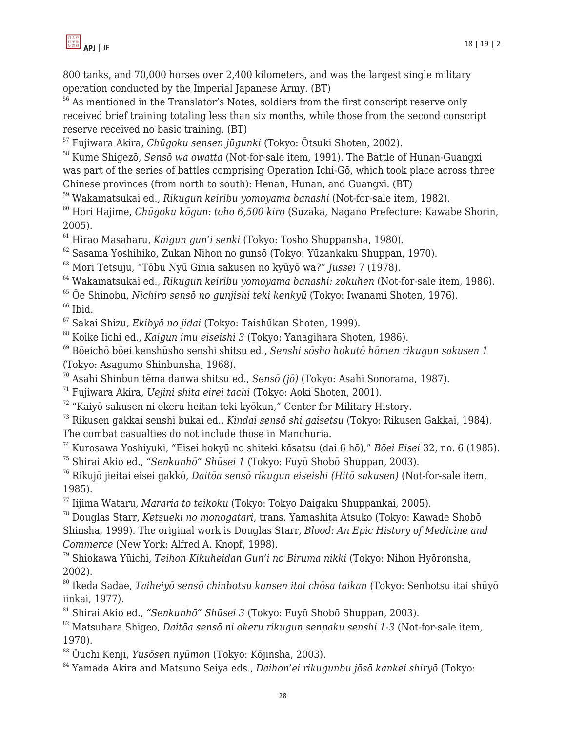

800 tanks, and 70,000 horses over 2,400 kilometers, and was the largest single military operation conducted by the Imperial Japanese Army. (BT)

<sup>56</sup> As mentioned in the Translator's Notes, soldiers from the first conscript reserve only received brief training totaling less than six months, while those from the second conscript reserve received no basic training. (BT)

Fujiwara Akira, *Chūgoku sensen jūgunki* (Tokyo: Ōtsuki Shoten, 2002).

 Kume Shigezō, *Sensō wa owatta* (Not-for-sale item, 1991). The Battle of Hunan-Guangxi was part of the series of battles comprising Operation Ichi-Gō, which took place across three Chinese provinces (from north to south): Henan, Hunan, and Guangxi. (BT)

Wakamatsukai ed., *Rikugun keiribu yomoyama banashi* (Not-for-sale item, 1982).

 Hori Hajime, *Chūgoku kōgun: toho 6,500 kiro* (Suzaka, Nagano Prefecture: Kawabe Shorin, 2005).

Hirao Masaharu, *Kaigun gun'i senki* (Tokyo: Tosho Shuppansha, 1980).

Sasama Yoshihiko, Zukan Nihon no gunsō (Tokyo: Yūzankaku Shuppan, 1970).

Mori Tetsuju, "Tōbu Nyū Ginia sakusen no kyūyō wa?" *Jussei* 7 (1978).

Wakamatsukai ed., *Rikugun keiribu yomoyama banashi: zokuhen* (Not-for-sale item, 1986).

Ōe Shinobu, *Nichiro sensō no gunjishi teki kenkyū* (Tokyo: Iwanami Shoten, 1976).

Ibid.

Sakai Shizu, *Ekibyō no jidai* (Tokyo: Taishūkan Shoten, 1999).

Koike Iichi ed., *Kaigun imu eiseishi 3* (Tokyo: Yanagihara Shoten, 1986).

 Bōeichō bōei kenshūsho senshi shitsu ed., *Senshi sōsho hokutō hōmen rikugun sakusen 1* (Tokyo: Asagumo Shinbunsha, 1968).

Asahi Shinbun tēma danwa shitsu ed., *Sensō (jō)* (Tokyo: Asahi Sonorama, 1987).

Fujiwara Akira, *Uejini shita eirei tachi* (Tokyo: Aoki Shoten, 2001).

"Kaiyō sakusen ni okeru heitan teki kyōkun," Center for Military History.

 Rikusen gakkai senshi bukai ed., *Kindai sensō shi gaisetsu* (Tokyo: Rikusen Gakkai, 1984). The combat casualties do not include those in Manchuria.

Kurosawa Yoshiyuki, "Eisei hokyū no shiteki kōsatsu (dai 6 hō)," *Bōei Eisei* 32, no. 6 (1985).

Shirai Akio ed., *"Senkunhō" Shūsei 1* (Tokyo: Fuyō Shobō Shuppan, 2003).

 Rikujō jieitai eisei gakkō, *Daitōa sensō rikugun eiseishi (Hitō sakusen)* (Not-for-sale item, 1985).

Iijima Wataru, *Mararia to teikoku* (Tokyo: Tokyo Daigaku Shuppankai, 2005).

 Douglas Starr, *Ketsueki no monogatari*, trans. Yamashita Atsuko (Tokyo: Kawade Shobō Shinsha, 1999). The original work is Douglas Starr, *Blood: An Epic History of Medicine and Commerce* (New York: Alfred A. Knopf, 1998).

 Shiokawa Yūichi, *Teihon Kikuheidan Gun'i no Biruma nikki* (Tokyo: Nihon Hyōronsha, 2002).

 Ikeda Sadae, *Taiheiyō sensō chinbotsu kansen itai chōsa taikan* (Tokyo: Senbotsu itai shūyō iinkai, 1977).

Shirai Akio ed., *"Senkunhō" Shūsei 3* (Tokyo: Fuyō Shobō Shuppan, 2003).

 Matsubara Shigeo, *Daitōa sensō ni okeru rikugun senpaku senshi 1-3* (Not-for-sale item, 1970).

Ōuchi Kenji, *Yusōsen nyūmon* (Tokyo: Kōjinsha, 2003).

Yamada Akira and Matsuno Seiya eds., *Daihon'ei rikugunbu jōsō kankei shiryō* (Tokyo: